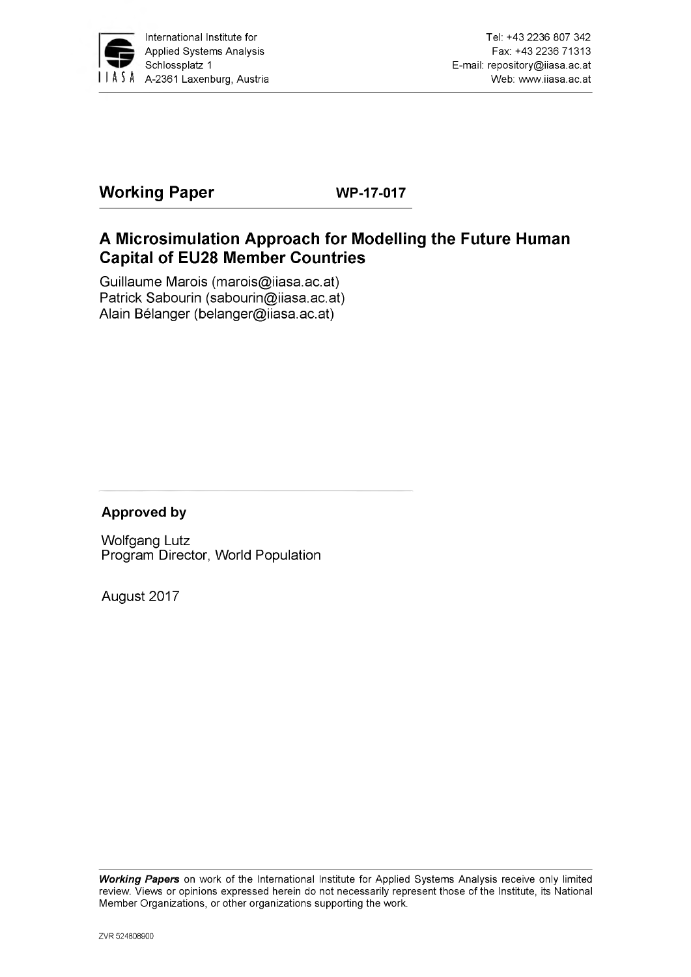

# **Working Paper WP-17-017**

# **A Microsimulation Approach for Modelling the Future Human Capital of EU28 Member Countries**

Guillaume Marois ([marois@iiasa.ac.at\)](mailto:marois@iiasa.ac.at) Patrick Sabourin [\(sabourin@iiasa.ac.at\)](mailto:sabourin@iiasa.ac.at) Alain Bélanger ([belanger@iiasa.ac.at](mailto:belanger@iiasa.ac.at))

### **Approved by**

Wolfgang Lutz Program Director, World Population

August 2017

*Working Papers* on work of the International Institute for Applied Systems Analysis receive only limited review. Views or opinions expressed herein do not necessarily represent those of the Institute, its National Member Organizations, or other organizations supporting the work.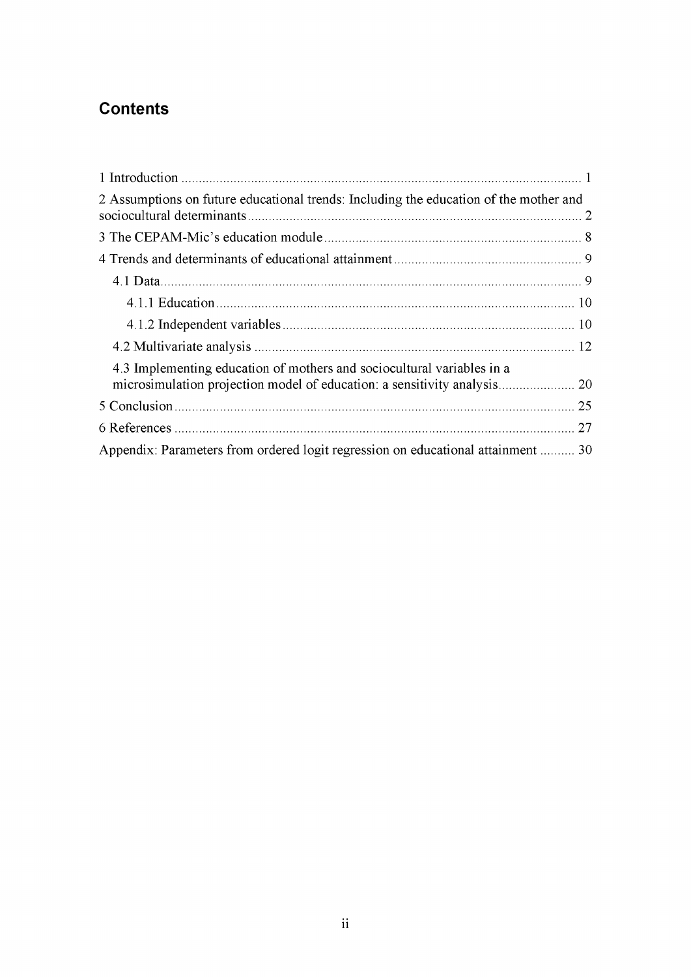# **Contents**

| 2 Assumptions on future educational trends: Including the education of the mother and |  |
|---------------------------------------------------------------------------------------|--|
|                                                                                       |  |
|                                                                                       |  |
|                                                                                       |  |
|                                                                                       |  |
|                                                                                       |  |
|                                                                                       |  |
| 4.3 Implementing education of mothers and sociocultural variables in a                |  |
|                                                                                       |  |
|                                                                                       |  |
| 27                                                                                    |  |
| Appendix: Parameters from ordered logit regression on educational attainment  30      |  |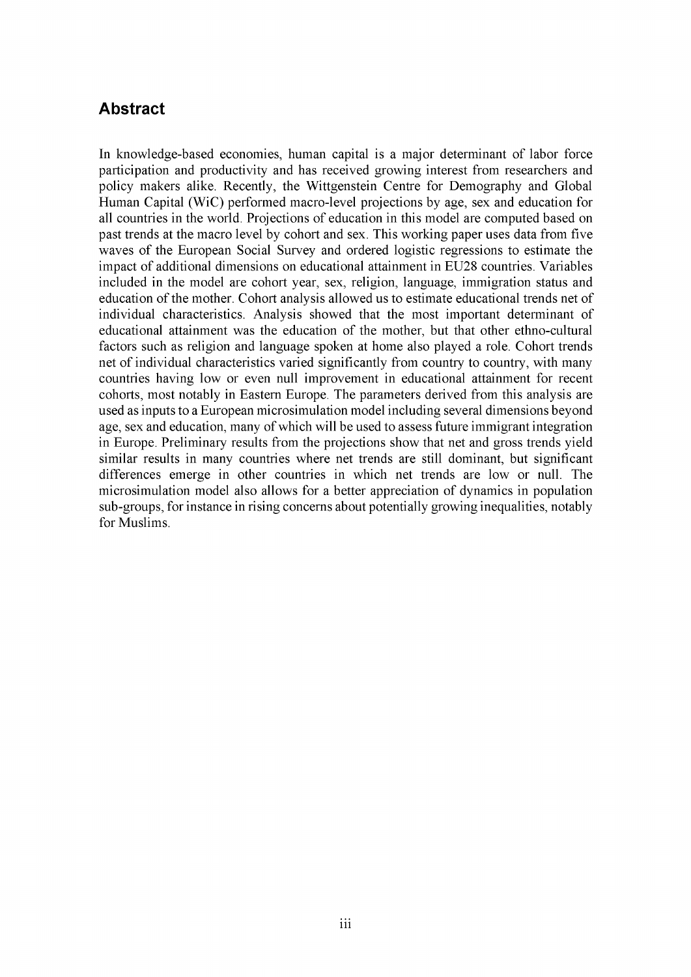### **Abstract**

In knowledge-based economies, human capital is a major determinant of labor force participation and productivity and has received growing interest from researchers and policy makers alike. Recently, the Wittgenstein Centre for Demography and Global Human Capital (WiC) performed macro-level projections by age, sex and education for all countries in the world. Projections of education in this model are computed based on past trends at the macro level by cohort and sex. This working paper uses data from five waves of the European Social Survey and ordered logistic regressions to estimate the impact of additional dimensions on educational attainment in EU28 countries. Variables included in the model are cohort year, sex, religion, language, immigration status and education of the mother. Cohort analysis allowed us to estimate educational trends net of individual characteristics. Analysis showed that the most important determinant of educational attainment was the education of the mother, but that other ethno-cultural factors such as religion and language spoken at home also played a role. Cohort trends net of individual characteristics varied significantly from country to country, with many countries having low or even null improvement in educational attainment for recent cohorts, most notably in Eastern Europe. The parameters derived from this analysis are used as inputs to a European microsimulation model including several dimensions beyond age, sex and education, many of which will be used to assess future immigrant integration in Europe. Preliminary results from the projections show that net and gross trends yield similar results in many countries where net trends are still dominant, but significant differences emerge in other countries in which net trends are low or null. The microsimulation model also allows for a better appreciation of dynamics in population sub-groups, for instance in rising concerns about potentially growing inequalities, notably for Muslims.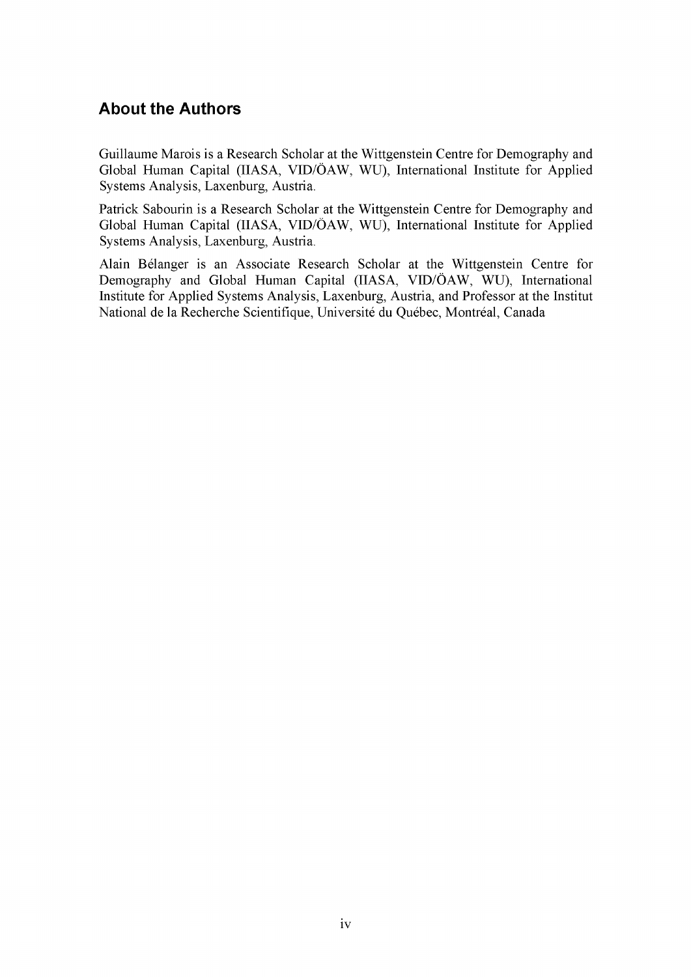## **About the Authors**

Guillaume Marois is a Research Scholar at the Wittgenstein Centre for Demography and Global Human Capital (IIASA, VID/OAW, WU), International Institute for Applied Systems Analysis, Laxenburg, Austria.

Patrick Sabourin is a Research Scholar at the Wittgenstein Centre for Demography and Global Human Capital (IIASA, VID/OAW, WU), International Institute for Applied Systems Analysis, Laxenburg, Austria.

Alain Belanger is an Associate Research Scholar at the Wittgenstein Centre for Demography and Global Human Capital (IIASA, VID/ÖAW, WU), International Institute for Applied Systems Analysis, Laxenburg, Austria, and Professor at the Institut National de la Recherche Scientifique, Universite du Quebec, Montreal, Canada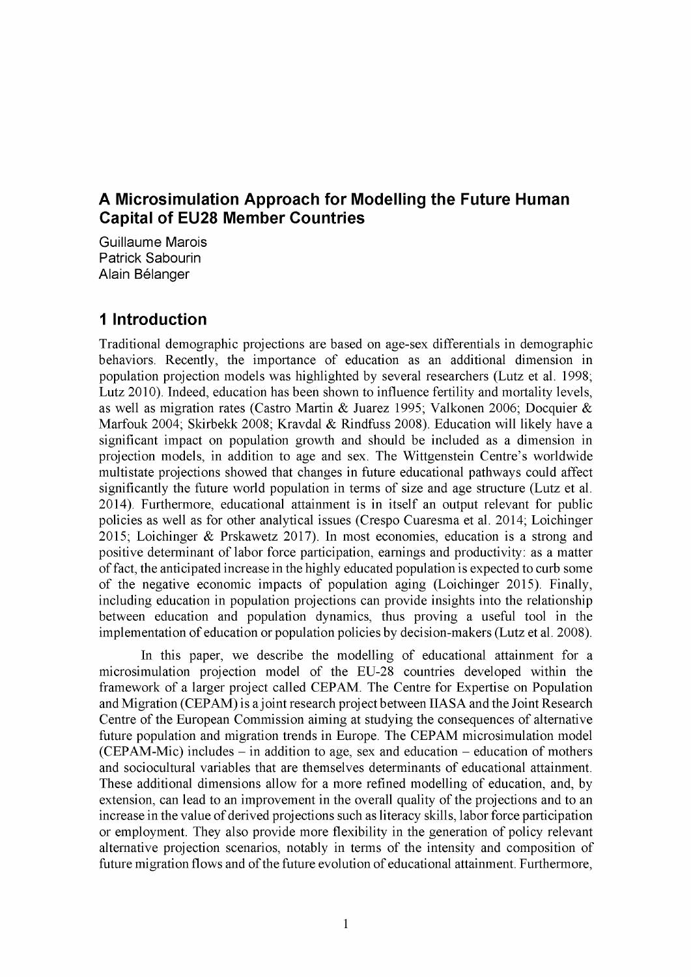## **A Microsimulation Approach for Modelling the Future Human Capital of EU28 Member Countries**

Guillaume Marois Patrick Sabourin Alain Belanger

### <span id="page-4-0"></span>**1 Introduction**

Traditional demographic projections are based on age-sex differentials in demographic behaviors. Recently, the importance of education as an additional dimension in population projection models was highlighted by several researchers (Lutz et al. 1998; Lutz 2010). Indeed, education has been shown to influence fertility and mortality levels, as well as migration rates (Castro Martin & Juarez 1995; Valkonen 2006; Docquier & Marfouk 2004; Skirbekk 2008; Kravdal & Rindfuss 2008). Education will likely have a significant impact on population growth and should be included as a dimension in projection models, in addition to age and sex. The Wittgenstein Centre's worldwide multistate projections showed that changes in future educational pathways could affect significantly the future world population in terms of size and age structure (Lutz et al. 2014). Furthermore, educational attainment is in itself an output relevant for public policies as well as for other analytical issues (Crespo Cuaresma et al. 2014; Loichinger 2015; Loichinger & Prskawetz 2017). In most economies, education is a strong and positive determinant of labor force participation, earnings and productivity: as a matter of fact, the anticipated increase in the highly educated population is expected to curb some of the negative economic impacts of population aging (Loichinger 2015). Finally, including education in population projections can provide insights into the relationship between education and population dynamics, thus proving a useful tool in the implementation of education or population policies by decision-makers (Lutz et al. 2008).

In this paper, we describe the modelling of educational attainment for a microsimulation projection model of the EU-28 countries developed within the framework of a larger project called CEPAM. The Centre for Expertise on Population and Migration (CEPAM) is a joint research project between IIASA and the Joint Research Centre of the European Commission aiming at studying the consequences of alternative future population and migration trends in Europe. The CEPAM microsimulation model  $(CEPAM-Mic)$  includes – in addition to age, sex and education – education of mothers and sociocultural variables that are themselves determinants of educational attainment. These additional dimensions allow for a more refined modelling of education, and, by extension, can lead to an improvement in the overall quality of the projections and to an increase in the value of derived projections such as literacy skills, labor force participation or employment. They also provide more flexibility in the generation of policy relevant alternative projection scenarios, notably in terms of the intensity and composition of future migration flows and of the future evolution of educational attainment. Furthermore,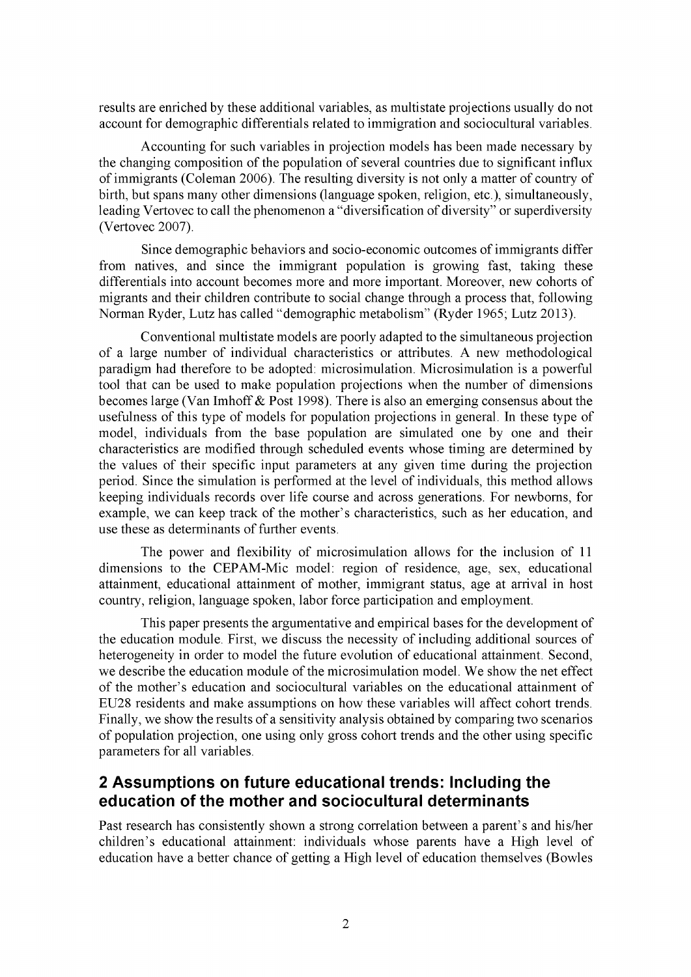results are enriched by these additional variables, as multistate projections usually do not account for demographic differentials related to immigration and sociocultural variables.

Accounting for such variables in projection models has been made necessary by the changing composition of the population of several countries due to significant influx of immigrants (Coleman 2006). The resulting diversity is not only a matter of country of birth, but spans many other dimensions (language spoken, religion, etc.), simultaneously, leading Vertovec to call the phenomenon a "diversification of diversity" or superdiversity (Vertovec 2007).

Since demographic behaviors and socio-economic outcomes of immigrants differ from natives, and since the immigrant population is growing fast, taking these differentials into account becomes more and more important. Moreover, new cohorts of migrants and their children contribute to social change through a process that, following Norman Ryder, Lutz has called "demographic metabolism" (Ryder 1965; Lutz 2013).

Conventional multistate models are poorly adapted to the simultaneous projection of a large number of individual characteristics or attributes. A new methodological paradigm had therefore to be adopted: microsimulation. Microsimulation is a powerful tool that can be used to make population projections when the number of dimensions becomes large (Van Imhoff & Post 1998). There is also an emerging consensus about the usefulness of this type of models for population projections in general. In these type of model, individuals from the base population are simulated one by one and their characteristics are modified through scheduled events whose timing are determined by the values of their specific input parameters at any given time during the projection period. Since the simulation is performed at the level of individuals, this method allows keeping individuals records over life course and across generations. For newborns, for example, we can keep track of the mother's characteristics, such as her education, and use these as determinants of further events.

The power and flexibility of microsimulation allows for the inclusion of 11 dimensions to the CEPAM-Mic model: region of residence, age, sex, educational attainment, educational attainment of mother, immigrant status, age at arrival in host country, religion, language spoken, labor force participation and employment.

This paper presents the argumentative and empirical bases for the development of the education module. First, we discuss the necessity of including additional sources of heterogeneity in order to model the future evolution of educational attainment. Second, we describe the education module of the microsimulation model. We show the net effect of the mother's education and sociocultural variables on the educational attainment of EU28 residents and make assumptions on how these variables will affect cohort trends. Finally, we show the results of a sensitivity analysis obtained by comparing two scenarios of population projection, one using only gross cohort trends and the other using specific parameters for all variables.

# **2 Assumptions on future educational trends: Including the education of the mother and sociocultural determinants**

Past research has consistently shown a strong correlation between a parent's and his/her children's educational attainment: individuals whose parents have a High level of education have a better chance of getting a High level of education themselves (Bowles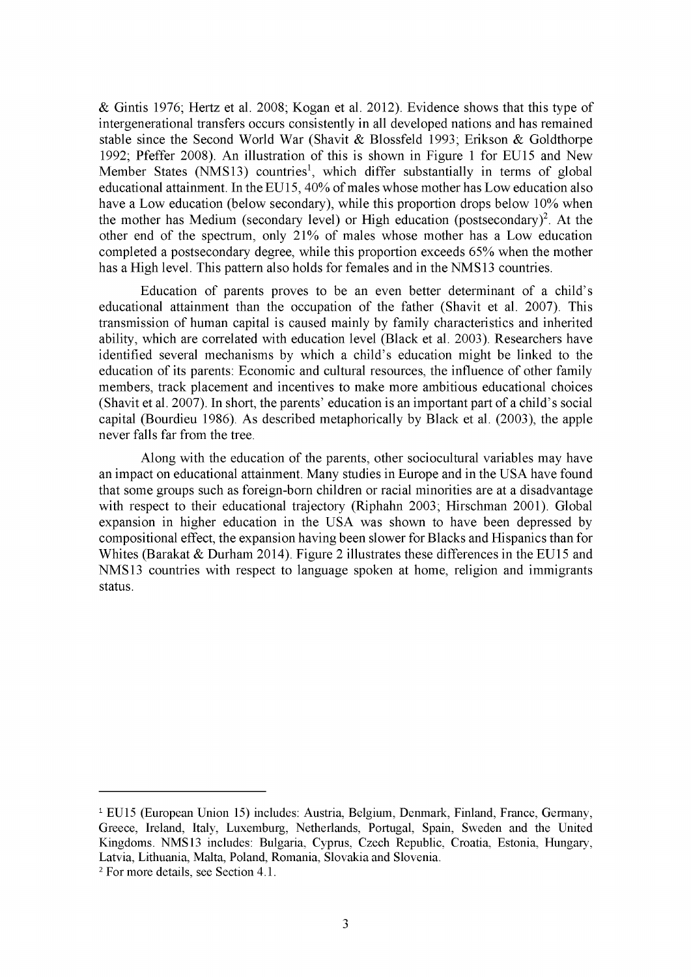& Gintis 1976; Hertz et al. 2008; Kogan et al. 2012). Evidence shows that this type of intergenerational transfers occurs consistently in all developed nations and has remained stable since the Second World War (Shavit & Blossfeld 1993; Erikson & Goldthorpe 1992; Pfeffer 2008). An illustration of this is shown in Figure 1 for EU15 and New Member States (NMS13) countries<sup>1</sup>, which differ substantially in terms of global educational attainment. In the EU15, 40% of males whose mother has Low education also have a Low education (below secondary), while this proportion drops below 10% when the mother has Medium (secondary level) or High education (postsecondary)<sup>2</sup>. At the other end of the spectrum, only 21% of males whose mother has a Low education completed a postsecondary degree, while this proportion exceeds 65% when the mother has a High level. This pattern also holds for females and in the NMS13 countries.

Education of parents proves to be an even better determinant of a child's educational attainment than the occupation of the father (Shavit et al. 2007). This transmission of human capital is caused mainly by family characteristics and inherited ability, which are correlated with education level (Black et al. 2003). Researchers have identified several mechanisms by which a child's education might be linked to the education of its parents: Economic and cultural resources, the influence of other family members, track placement and incentives to make more ambitious educational choices (Shavit et al. 2007). In short, the parents' education is an important part of a child's social capital (Bourdieu 1986). As described metaphorically by Black et al. (2003), the apple never falls far from the tree.

Along with the education of the parents, other sociocultural variables may have an impact on educational attainment. Many studies in Europe and in the USA have found that some groups such as foreign-born children or racial minorities are at a disadvantage with respect to their educational trajectory (Riphahn 2003; Hirschman 2001). Global expansion in higher education in the USA was shown to have been depressed by compositional effect, the expansion having been slower for Blacks and Hispanics than for Whites (Barakat & Durham 2014). Figure 2 illustrates these differences in the EU15 and NMS13 countries with respect to language spoken at home, religion and immigrants status.

<sup>&</sup>lt;sup>1</sup> EU15 (European Union 15) includes: Austria, Belgium, Denmark, Finland, France, Germany, Greece, Ireland, Italy, Luxemburg, Netherlands, Portugal, Spain, Sweden and the United Kingdoms. NMS13 includes: Bulgaria, Cyprus, Czech Republic, Croatia, Estonia, Hungary, Latvia, Lithuania, Malta, Poland, Romania, Slovakia and Slovenia.

<sup>2</sup> For more details, see Section 4.1.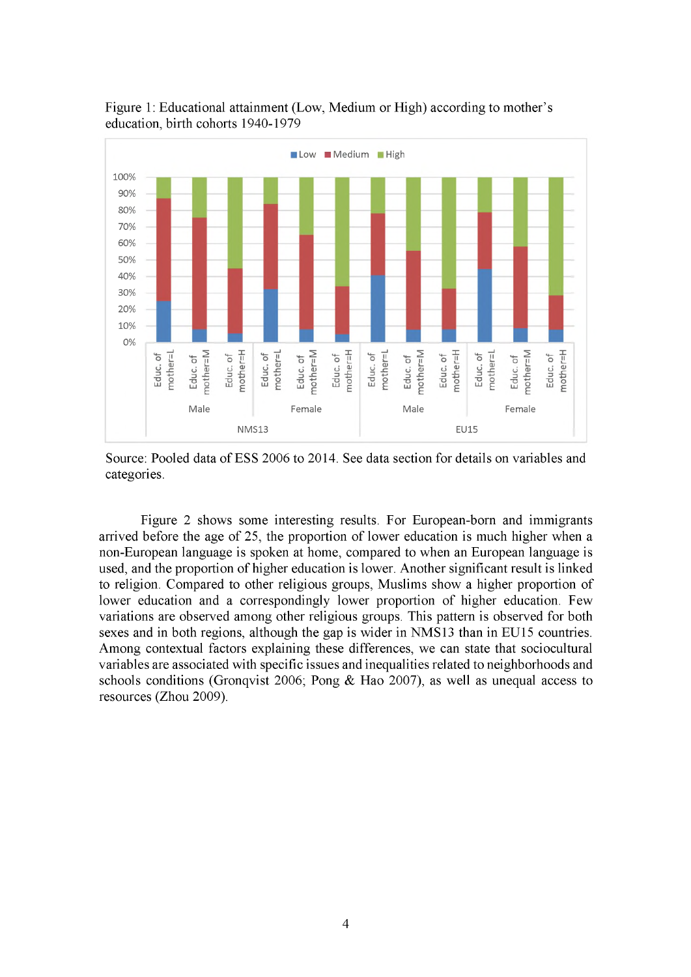

Figure 1: Educational attainment (Low, Medium or High) according to mother's education, birth cohorts 1940-1979

Source: Pooled data of ESS 2006 to 2014. See data section for details on variables and categories.

Figure 2 shows some interesting results. For European-born and immigrants arrived before the age of 25, the proportion of lower education is much higher when a non-European language is spoken at home, compared to when an European language is used, and the proportion of higher education is lower. Another significant result is linked to religion. Compared to other religious groups, Muslims show a higher proportion of lower education and a correspondingly lower proportion of higher education. Few variations are observed among other religious groups. This pattern is observed for both sexes and in both regions, although the gap is wider in NMS13 than in EU15 countries. Among contextual factors explaining these differences, we can state that sociocultural variables are associated with specific issues and inequalities related to neighborhoods and schools conditions (Gronqvist 2006; Pong & Hao 2007), as well as unequal access to resources (Zhou 2009).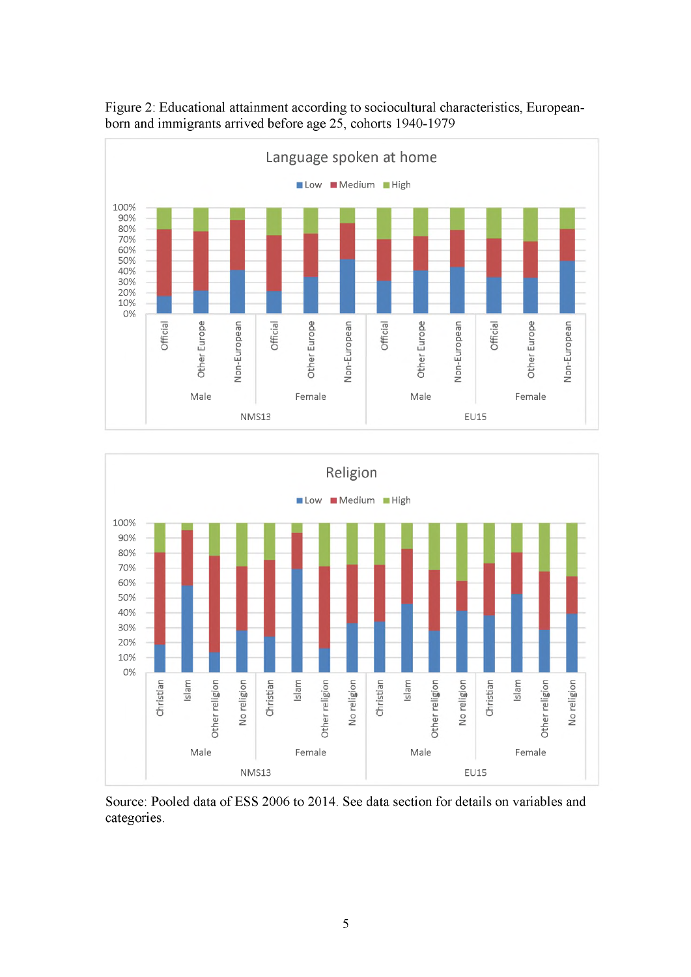

Figure 2: Educational attainment according to sociocultural characteristics, Europeanborn and immigrants arrived before age 25, cohorts 1940-1979



Source: Pooled data of ESS 2006 to 2014. See data section for details on variables and categories.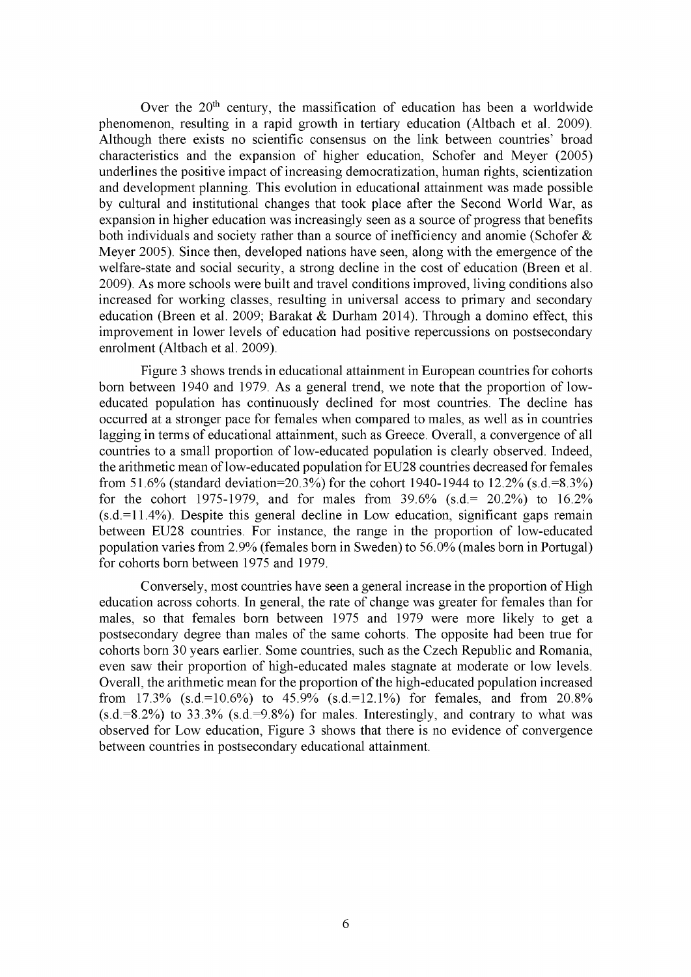Over the  $20<sup>th</sup>$  century, the massification of education has been a worldwide phenomenon, resulting in a rapid growth in tertiary education (Altbach et al. 2009). Although there exists no scientific consensus on the link between countries' broad characteristics and the expansion of higher education, Schofer and Meyer (2005) underlines the positive impact of increasing democratization, human rights, scientization and development planning. This evolution in educational attainment was made possible by cultural and institutional changes that took place after the Second World War, as expansion in higher education was increasingly seen as a source of progress that benefits both individuals and society rather than a source of inefficiency and anomie (Schofer  $\&$ Meyer 2005). Since then, developed nations have seen, along with the emergence of the welfare-state and social security, a strong decline in the cost of education (Breen et al. 2009). As more schools were built and travel conditions improved, living conditions also increased for working classes, resulting in universal access to primary and secondary education (Breen et al. 2009; Barakat & Durham 2014). Through a domino effect, this improvement in lower levels of education had positive repercussions on postsecondary enrolment (Altbach et al. 2009).

Figure 3 shows trends in educational attainment in European countries for cohorts born between 1940 and 1979. As a general trend, we note that the proportion of loweducated population has continuously declined for most countries. The decline has occurred at a stronger pace for females when compared to males, as well as in countries lagging in terms of educational attainment, such as Greece. Overall, a convergence of all countries to a small proportion of low-educated population is clearly observed. Indeed, the arithmetic mean of low-educated population for EU28 countries decreased for females from 51.6% (standard deviation=20.3%) for the cohort 1940-1944 to 12.2% (s.d.=8.3%) for the cohort 1975-1979, and for males from 39.6% (s.d.= 20.2%) to 16.2%  $(s.d.=11.4\%)$ . Despite this general decline in Low education, significant gaps remain between EU28 countries. For instance, the range in the proportion of low-educated population varies from 2.9% (females born in Sweden) to 56.0% (males born in Portugal) for cohorts born between 1975 and 1979.

Conversely, most countries have seen a general increase in the proportion of High education across cohorts. In general, the rate of change was greater for females than for males, so that females born between 1975 and 1979 were more likely to get a postsecondary degree than males of the same cohorts. The opposite had been true for cohorts born 30 years earlier. Some countries, such as the Czech Republic and Romania, even saw their proportion of high-educated males stagnate at moderate or low levels. Overall, the arithmetic mean for the proportion of the high-educated population increased from  $17.3\%$  (s.d.=10.6%) to  $45.9\%$  (s.d.=12.1%) for females, and from  $20.8\%$  $(s.d.=8.2%)$  to 33.3%  $(s.d.=9.8%)$  for males. Interestingly, and contrary to what was observed for Low education, Figure 3 shows that there is no evidence of convergence between countries in postsecondary educational attainment.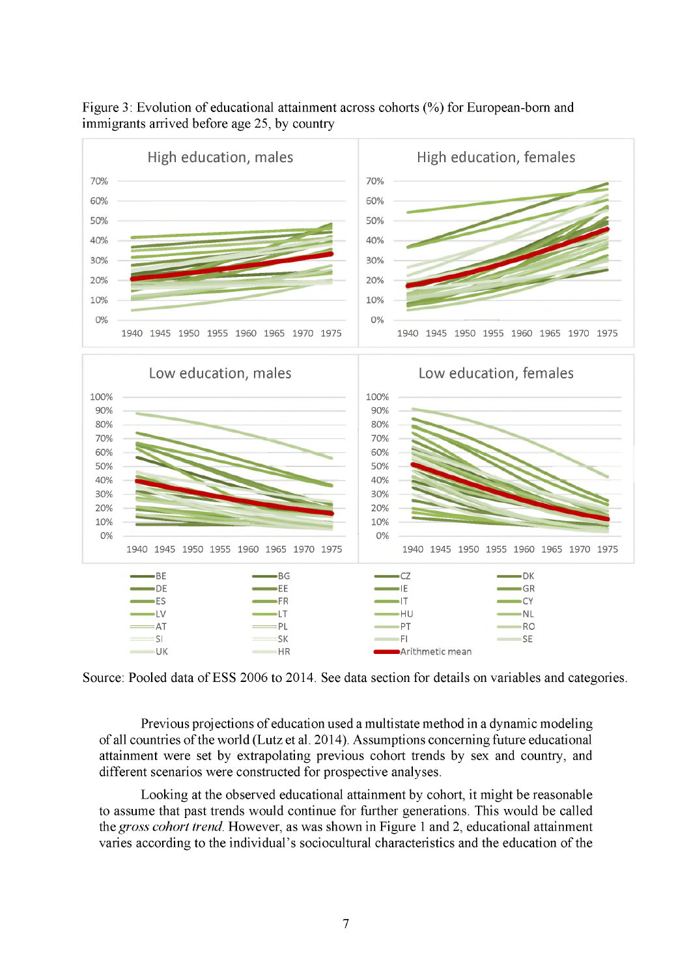

Figure 3: Evolution of educational attainment across cohorts (%) for European-born and immigrants arrived before age 25, by country

Source: Pooled data of ESS 2006 to 2014. See data section for details on variables and categories.

Previous projections of education used a multistate method in a dynamic modeling of all countries of the world (Lutz et al. 2014). Assumptions concerning future educational attainment were set by extrapolating previous cohort trends by sex and country, and different scenarios were constructed for prospective analyses.

Looking at the observed educational attainment by cohort, it might be reasonable to assume that past trends would continue for further generations. This would be called the *gross cohort trend.* However, as was shown in Figure 1 and 2, educational attainment varies according to the individual's sociocultural characteristics and the education of the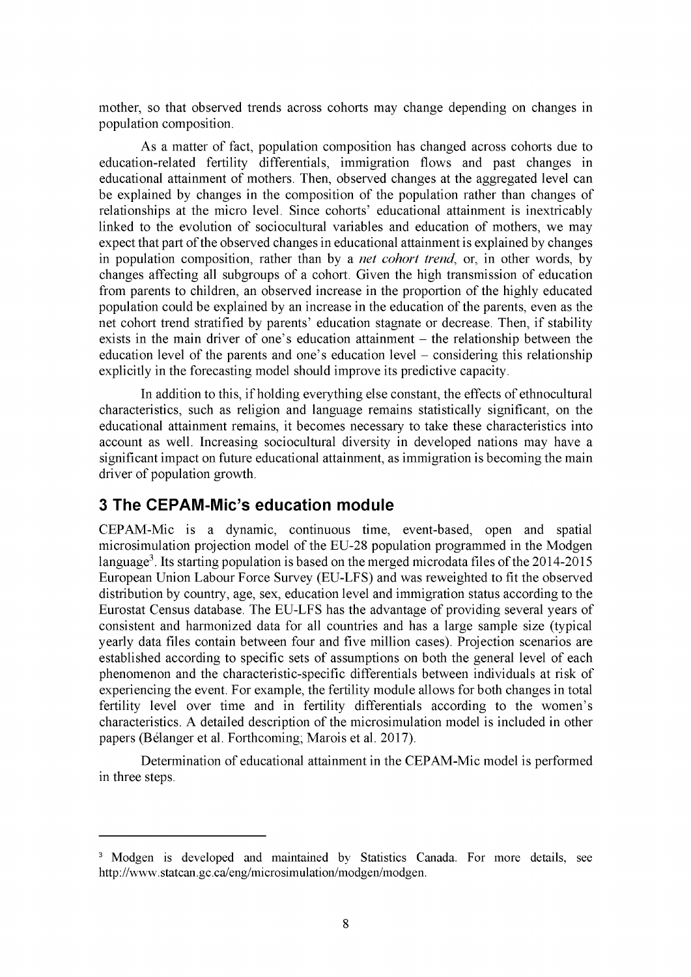mother, so that observed trends across cohorts may change depending on changes in population composition.

As a matter of fact, population composition has changed across cohorts due to education-related fertility differentials, immigration flows and past changes in educational attainment of mothers. Then, observed changes at the aggregated level can be explained by changes in the composition of the population rather than changes of relationships at the micro level. Since cohorts' educational attainment is inextricably linked to the evolution of sociocultural variables and education of mothers, we may expect that part of the observed changes in educational attainment is explained by changes in population composition, rather than by a *net cohort trend,* or, in other words, by changes affecting all subgroups of a cohort. Given the high transmission of education from parents to children, an observed increase in the proportion of the highly educated population could be explained by an increase in the education of the parents, even as the net cohort trend stratified by parents' education stagnate or decrease. Then, if stability exists in the main driver of one's education attainment  $-$  the relationship between the education level of the parents and one's education level – considering this relationship explicitly in the forecasting model should improve its predictive capacity.

In addition to this, if holding everything else constant, the effects of ethnocultural characteristics, such as religion and language remains statistically significant, on the educational attainment remains, it becomes necessary to take these characteristics into account as well. Increasing sociocultural diversity in developed nations may have a significant impact on future educational attainment, as immigration is becoming the main driver of population growth.

### <span id="page-11-0"></span>**3 The CEPAM-Mic's education module**

CEPAM-Mic is a dynamic, continuous time, event-based, open and spatial microsimulation projection model of the EU-28 population programmed in the Modgen language<sup>3</sup>. Its starting population is based on the merged microdata files of the  $2014-2015$ European Union Labour Force Survey (EU-LFS) and was reweighted to fit the observed distribution by country, age, sex, education level and immigration status according to the Eurostat Census database. The EU-LFS has the advantage of providing several years of consistent and harmonized data for all countries and has a large sample size (typical yearly data files contain between four and five million cases). Projection scenarios are established according to specific sets of assumptions on both the general level of each phenomenon and the characteristic-specific differentials between individuals at risk of experiencing the event. For example, the fertility module allows for both changes in total fertility level over time and in fertility differentials according to the women's characteristics. A detailed description of the microsimulation model is included in other papers (Belanger et al. Forthcoming; Marois et al. 2017).

Determination of educational attainment in the CEPAM-Mic model is performed in three steps.

<sup>&</sup>lt;sup>3</sup> Modgen is developed and maintained by Statistics Canada. For more details, see <http://www.statcan.gc.ca/eng/microsimulation/modgen/modgen>.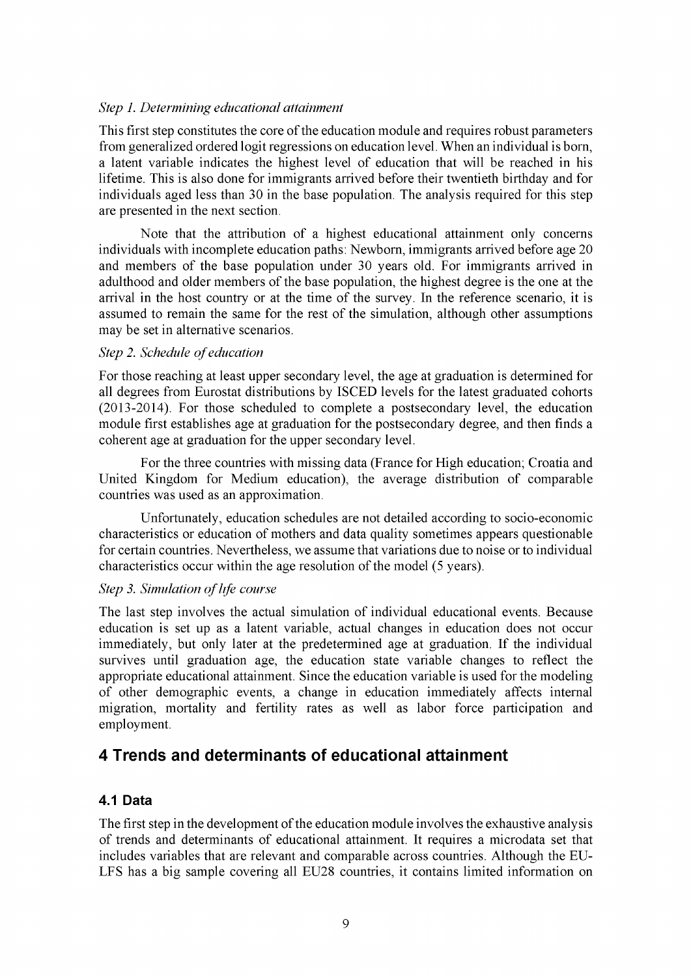#### *Step 1. Determining educational attainment*

This first step constitutes the core of the education module and requires robust parameters from generalized ordered logit regressions on education level. When an individual is born, a latent variable indicates the highest level of education that will be reached in his lifetime. This is also done for immigrants arrived before their twentieth birthday and for individuals aged less than 30 in the base population. The analysis required for this step are presented in the next section.

Note that the attribution of a highest educational attainment only concerns individuals with incomplete education paths: Newborn, immigrants arrived before age 20 and members of the base population under 30 years old. For immigrants arrived in adulthood and older members of the base population, the highest degree is the one at the arrival in the host country or at the time of the survey. In the reference scenario, it is assumed to remain the same for the rest of the simulation, although other assumptions may be set in alternative scenarios.

#### **Step 2. Schedule of education**

For those reaching at least upper secondary level, the age at graduation is determined for all degrees from Eurostat distributions by ISCED levels for the latest graduated cohorts (2013-2014). For those scheduled to complete a postsecondary level, the education module first establishes age at graduation for the postsecondary degree, and then finds a coherent age at graduation for the upper secondary level.

For the three countries with missing data (France for High education; Croatia and United Kingdom for Medium education), the average distribution of comparable countries was used as an approximation.

Unfortunately, education schedules are not detailed according to socio-economic characteristics or education of mothers and data quality sometimes appears questionable for certain countries. Nevertheless, we assume that variations due to noise or to individual characteristics occur within the age resolution of the model (5 years).

#### *Step 3. Simulation of life course*

The last step involves the actual simulation of individual educational events. Because education is set up as a latent variable, actual changes in education does not occur immediately, but only later at the predetermined age at graduation. If the individual survives until graduation age, the education state variable changes to reflect the appropriate educational attainment. Since the education variable is used for the modeling of other demographic events, a change in education immediately affects internal migration, mortality and fertility rates as well as labor force participation and employment.

### <span id="page-12-1"></span><span id="page-12-0"></span>**4 Trends and determinants of educational attainment**

### **4.1 Data**

The first step in the development of the education module involves the exhaustive analysis of trends and determinants of educational attainment. It requires a microdata set that includes variables that are relevant and comparable across countries. Although the EU-LFS has a big sample covering all EU28 countries, it contains limited information on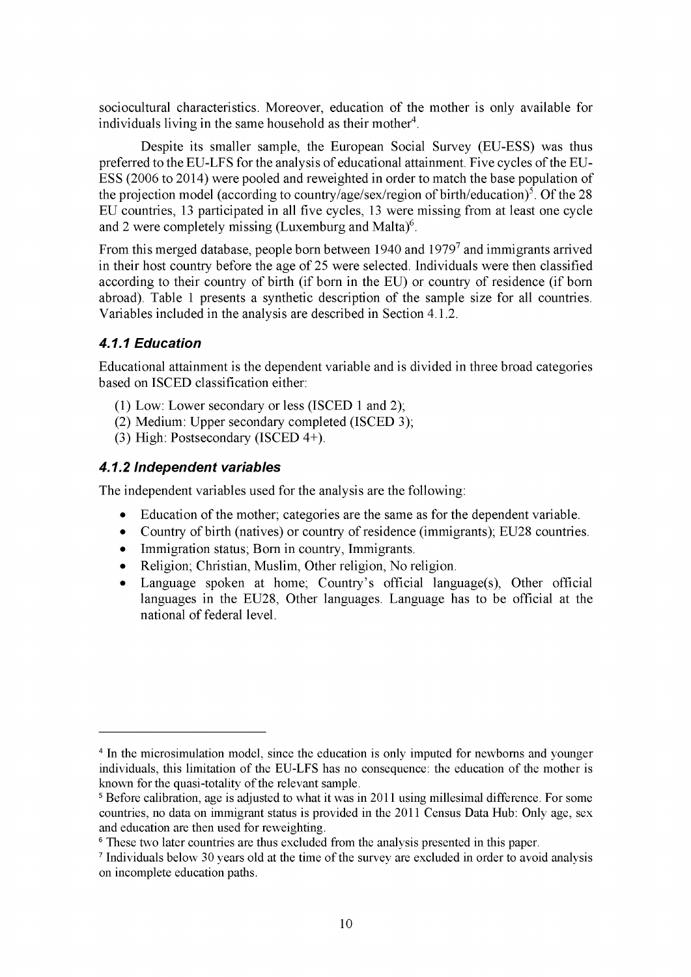sociocultural characteristics. Moreover, education of the mother is only available for individuals living in the same household as their mother<sup>4</sup>.

Despite its smaller sample, the European Social Survey (EU-ESS) was thus preferred to the EU-LFS for the analysis of educational attainment. Five cycles of the EU-ESS (2006 to 2014) were pooled and reweighted in order to match the base population of the projection model (according to country/age/sex/region of birth/education)<sup>5</sup>. Of the 28 EU countries, 13 participated in all five cycles, 13 were missing from at least one cycle and 2 were completely missing (Luxemburg and Malta) $6$ .

From this merged database, people born between 1940 and 19797 and immigrants arrived in their host country before the age of 25 were selected. Individuals were then classified according to their country of birth (if born in the EU) or country of residence (if born abroad). Table 1 presents a synthetic description of the sample size for all countries. Variables included in the analysis are described in Section 4.1.2.

### <span id="page-13-0"></span>*4.1.1 Education*

Educational attainment is the dependent variable and is divided in three broad categories based on ISCED classification either:

- (1) Low: Lower secondary or less (ISCED 1 and 2);
- (2) Medium: Upper secondary completed (ISCED 3);
- (3) High: Postsecondary (ISCED 4+).

### <span id="page-13-1"></span>*4.1.2 Independent variables*

The independent variables used for the analysis are the following:

- *•* Education of the mother; categories are the same as for the dependent variable.
- Country of birth (natives) or country of residence (immigrants); EU28 countries.
- Immigration status; Born in country, Immigrants.
- Religion; Christian, Muslim, Other religion, No religion.
- Language spoken at home; Country's official language(s), Other official languages in the EU28, Other languages. Language has to be official at the national of federal level.

<sup>&</sup>lt;sup>4</sup> In the microsimulation model, since the education is only imputed for newborns and younger individuals, this limitation of the EU-LFS has no consequence: the education of the mother is known for the quasi-totality of the relevant sample.

<sup>&</sup>lt;sup>5</sup> Before calibration, age is adjusted to what it was in 2011 using millesimal difference. For some countries, no data on immigrant status is provided in the 2011 Census Data Hub: Only age, sex and education are then used for reweighting.

<sup>6</sup> These two later countries are thus excluded from the analysis presented in this paper.

<sup>7</sup> Individuals below 30 years old at the time of the survey are excluded in order to avoid analysis on incomplete education paths.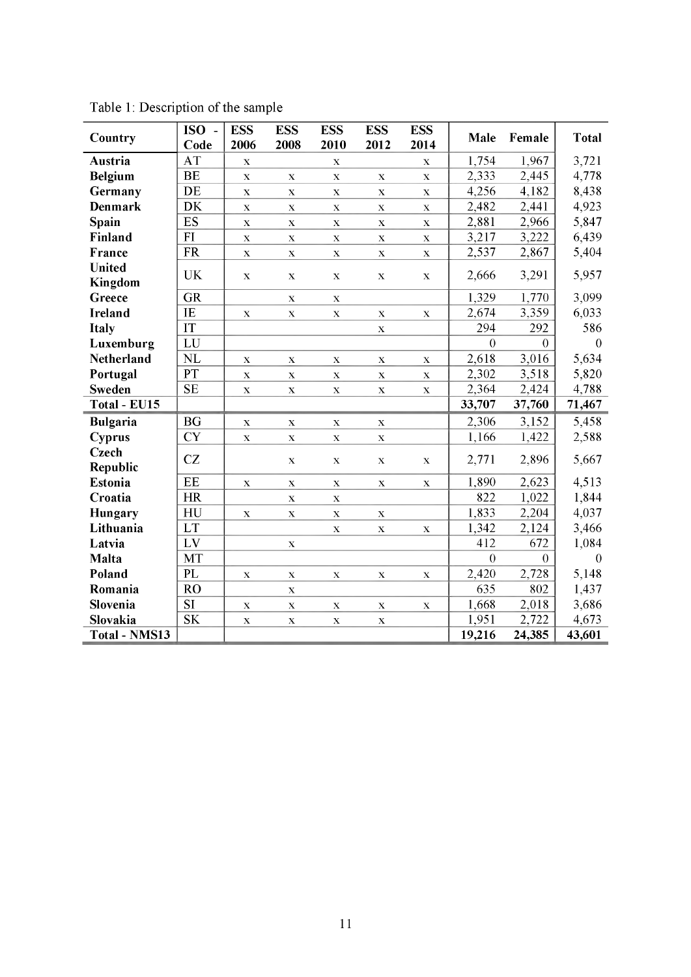| Country                  | ISO-      | <b>ESS</b>         | <b>ESS</b>         | <b>ESS</b>  | <b>ESS</b>  | <b>ESS</b>         | Male           | Female   | <b>Total</b> |
|--------------------------|-----------|--------------------|--------------------|-------------|-------------|--------------------|----------------|----------|--------------|
|                          | Code      | 2006               | 2008               | 2010        | 2012        | 2014               |                |          |              |
| Austria                  | <b>AT</b> | $\mathbf X$        |                    | $\mathbf X$ |             | $\mathbf X$        | 1,754          | 1,967    | 3,721        |
| <b>Belgium</b>           | <b>BE</b> | $\mathbf X$        | $\mathbf X$        | $\mathbf X$ | $\mathbf X$ | $\mathbf X$        | 2,333          | 2,445    | 4,778        |
| Germany                  | DE        | $\mathbf X$        | $\mathbf X$        | $\mathbf X$ | $\mathbf X$ | $\mathbf X$        | 4,256          | 4,182    | 8,438        |
| <b>Denmark</b>           | <b>DK</b> | $\bar{\mathbf{X}}$ | $\mathbf X$        | $\mathbf X$ | $\mathbf X$ | $\mathbf X$        | 2,482          | 2,441    | 4,923        |
| Spain                    | ES        | $\mathbf X$        | $\mathbf X$        | $\mathbf X$ | $\mathbf X$ | $\mathbf X$        | 2,881          | 2,966    | 5,847        |
| Finland                  | FI        | $\mathbf X$        | $\bar{\mathbf{X}}$ | $\mathbf X$ | $\mathbf X$ | $\bar{\mathbf{X}}$ | 3,217          | 3,222    | 6,439        |
| France                   | <b>FR</b> | $\mathbf X$        | $\mathbf X$        | $\mathbf X$ | $\mathbf X$ | $\mathbf X$        | 2,537          | 2,867    | 5,404        |
| <b>United</b><br>Kingdom | <b>UK</b> | $\mathbf X$        | $\mathbf X$        | $\mathbf X$ | $\mathbf X$ | $\mathbf X$        | 2,666          | 3,291    | 5,957        |
| Greece                   | <b>GR</b> |                    | $\mathbf X$        | $\mathbf X$ |             |                    | 1,329          | 1,770    | 3,099        |
| <b>Ireland</b>           | IE        | $\mathbf X$        | $\mathbf X$        | $\mathbf X$ | $\mathbf X$ | $\mathbf X$        | 2,674          | 3,359    | 6,033        |
| Italy                    | IT        |                    |                    |             | $\mathbf X$ |                    | 294            | 292      | 586          |
| Luxemburg                | LU        |                    |                    |             |             |                    | $\overline{0}$ | $\theta$ | $\theta$     |
| <b>Netherland</b>        | NL        | X                  | $\mathbf X$        | $\mathbf X$ | $\mathbf X$ | $\mathbf X$        | 2,618          | 3,016    | 5,634        |
| Portugal                 | PT        | $\mathbf X$        | $\mathbf X$        | $\mathbf X$ | $\mathbf X$ | $\mathbf X$        | 2,302          | 3,518    | 5,820        |
| <b>Sweden</b>            | <b>SE</b> | $\mathbf X$        | $\mathbf X$        | $\mathbf X$ | $\mathbf X$ | $\mathbf X$        | 2,364          | 2,424    | 4,788        |
| Total - EU15             |           |                    |                    |             |             |                    | 33,707         | 37,760   | 71,467       |
| <b>Bulgaria</b>          | <b>BG</b> | X                  | $\mathbf X$        | $\mathbf X$ | $\mathbf X$ |                    | 2,306          | 3,152    | 5,458        |
| Cyprus                   | <b>CY</b> | X                  | $\mathbf X$        | $\mathbf X$ | $\mathbf X$ |                    | 1,166          | 1,422    | 2,588        |
| Czech<br>Republic        | CZ        |                    | $\mathbf X$        | $\mathbf X$ | $\mathbf X$ | $\mathbf X$        | 2,771          | 2,896    | 5,667        |
| <b>Estonia</b>           | EE        | $\mathbf X$        | $\mathbf X$        | $\mathbf X$ | $\mathbf X$ | $\mathbf X$        | 1,890          | 2,623    | 4,513        |
| Croatia                  | <b>HR</b> |                    | $\mathbf X$        | $\mathbf X$ |             |                    | 822            | 1,022    | 1,844        |
| Hungary                  | HU        | $\mathbf X$        | $\mathbf X$        | $\mathbf X$ | $\mathbf X$ |                    | 1,833          | 2,204    | 4,037        |
| Lithuania                | LT        |                    |                    | $\mathbf X$ | $\mathbf X$ | $\mathbf X$        | 1,342          | 2,124    | 3,466        |
| Latvia                   | LV        |                    | $\mathbf X$        |             |             |                    | 412            | 672      | 1,084        |
| Malta                    | <b>MT</b> |                    |                    |             |             |                    | $\overline{0}$ | $\theta$ | $\theta$     |
| Poland                   | PL        | $\mathbf X$        | $\mathbf X$        | $\mathbf X$ | $\mathbf X$ | $\mathbf X$        | 2,420          | 2,728    | 5,148        |
| Romania                  | <b>RO</b> |                    | $\mathbf X$        |             |             |                    | 635            | 802      | 1,437        |
| Slovenia                 | <b>SI</b> | $\mathbf X$        | $\mathbf X$        | $\mathbf X$ | $\mathbf X$ | $\mathbf X$        | 1,668          | 2,018    | 3,686        |
| Slovakia                 | <b>SK</b> | $\mathbf X$        | $\mathbf X$        | $\mathbf X$ | $\mathbf X$ |                    | 1,951          | 2,722    | 4,673        |
| <b>Total - NMS13</b>     |           |                    |                    |             |             |                    | 19,216         | 24,385   | 43,601       |

Table 1: Description of the sample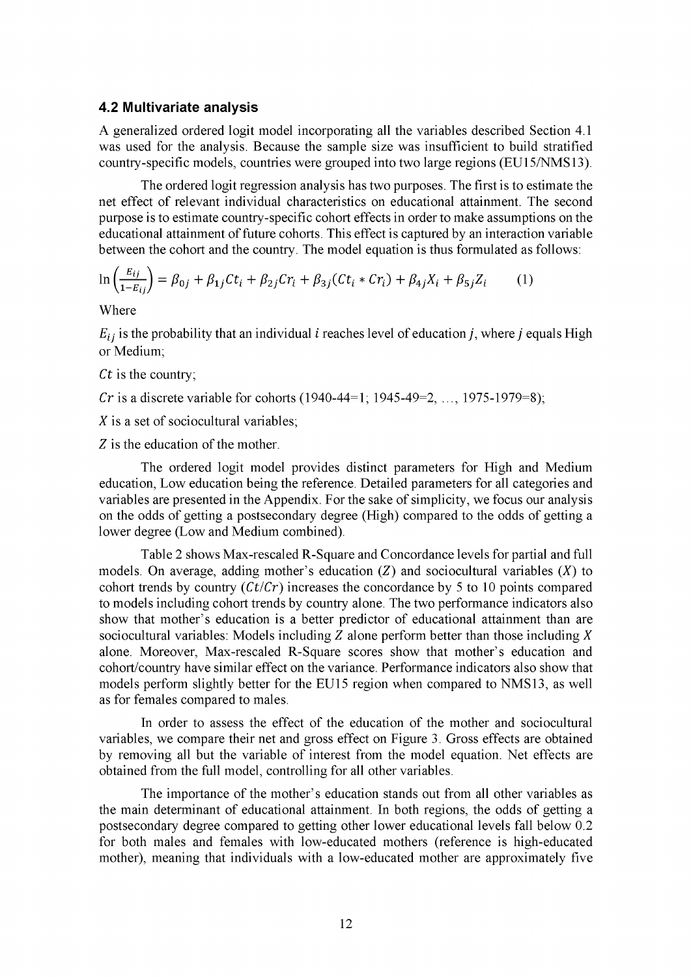#### <span id="page-15-0"></span>**4.2 Multivariate analysis**

A generalized ordered logit model incorporating all the variables described Section 4.1 was used for the analysis. Because the sample size was insufficient to build stratified country-specific models, countries were grouped into two large regions (EU15/NMS13).

The ordered logit regression analysis has two purposes. The first is to estimate the net effect of relevant individual characteristics on educational attainment. The second purpose is to estimate country-specific cohort effects in order to make assumptions on the educational attainment of future cohorts. This effect is captured by an interaction variable between the cohort and the country. The model equation is thus formulated as follows:

$$
\ln\left(\frac{E_{ij}}{1-E_{ij}}\right) = \beta_{0j} + \beta_{1j}Ct_i + \beta_{2j}Cr_i + \beta_{3j}(Ct_i * Cr_i) + \beta_{4j}X_i + \beta_{5j}Z_i
$$
 (1)

Where

 $E_{ij}$  is the probability that an individual *i* reaches level of education *j*, where *j* equals High or Medium;

*Ct* is the country;

*Cr* is a discrete variable for cohorts (1940-44=1; 1945-49=2, ..., 1975-1979=8);

*X* is a set of sociocultural variables;

*Z* is the education of the mother.

The ordered logit model provides distinct parameters for High and Medium education, Low education being the reference. Detailed parameters for all categories and variables are presented in the Appendix. For the sake of simplicity, we focus our analysis on the odds of getting a postsecondary degree (High) compared to the odds of getting a lower degree (Low and Medium combined).

Table 2 shows Max-rescaled R-Square and Concordance levels for partial and full models. On average, adding mother's education *(Z)* and sociocultural variables (X) to cohort trends by country *(Ct/Cr)* increases the concordance by 5 to 10 points compared to models including cohort trends by country alone. The two performance indicators also show that mother's education is a better predictor of educational attainment than are sociocultural variables: Models including *Z* alone perform better than those including *X* alone. Moreover, Max-rescaled R-Square scores show that mother's education and cohort/country have similar effect on the variance. Performance indicators also show that models perform slightly better for the EU15 region when compared to NMS13, as well as for females compared to males.

In order to assess the effect of the education of the mother and sociocultural variables, we compare their net and gross effect on Figure 3. Gross effects are obtained by removing all but the variable of interest from the model equation. Net effects are obtained from the full model, controlling for all other variables.

The importance of the mother's education stands out from all other variables as the main determinant of educational attainment. In both regions, the odds of getting a postsecondary degree compared to getting other lower educational levels fall below 0.2 for both males and females with low-educated mothers (reference is high-educated mother), meaning that individuals with a low-educated mother are approximately five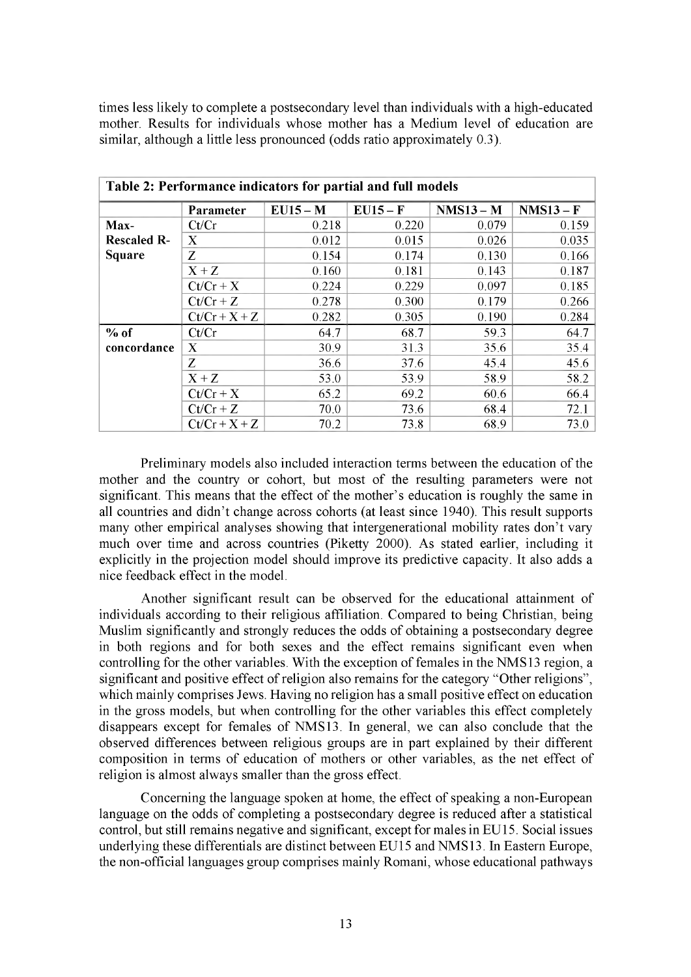times less likely to complete a postsecondary level than individuals with a high-educated mother. Results for individuals whose mother has a Medium level of education are similar, although a little less pronounced (odds ratio approximately 0.3).

| Table 2: Performance indicators for partial and full models |             |            |          |             |             |  |  |  |  |
|-------------------------------------------------------------|-------------|------------|----------|-------------|-------------|--|--|--|--|
|                                                             | Parameter   | $EU15 - M$ | $EU15-F$ | $NMS13 - M$ | $NMS13 - F$ |  |  |  |  |
| Max-                                                        | Ct/Cr       | 0.218      | 0.220    | 0.079       | 0.159       |  |  |  |  |
| <b>Rescaled R-</b>                                          | X           | 0.012      | 0.015    | 0.026       | 0.035       |  |  |  |  |
| <b>Square</b>                                               | Z           | 0.154      | 0.174    | 0.130       | 0.166       |  |  |  |  |
|                                                             | $X+Z$       | 0.160      | 0.181    | 0.143       | 0.187       |  |  |  |  |
|                                                             | $Ct/Cr+X$   | 0.224      | 0.229    | 0.097       | 0.185       |  |  |  |  |
|                                                             | $Ct/Cr + Z$ | 0.278      | 0.300    | 0.179       | 0.266       |  |  |  |  |
|                                                             | $Ct/Cr+X+Z$ | 0.282      | 0.305    | 0.190       | 0.284       |  |  |  |  |
| $%$ of                                                      | Ct/Cr       | 64.7       | 68.7     | 59.3        | 64.7        |  |  |  |  |
| concordance                                                 | X           | 30.9       | 31.3     | 35.6        | 35.4        |  |  |  |  |
|                                                             | Z           | 36.6       | 37.6     | 45.4        | 45.6        |  |  |  |  |
|                                                             | $X+Z$       | 53.0       | 53.9     | 58.9        | 58.2        |  |  |  |  |
|                                                             | $Ct/Cr+X$   | 65.2       | 69.2     | 60.6        | 66.4        |  |  |  |  |
|                                                             | $Ct/Cr + Z$ | 70.0       | 73.6     | 68.4        | 72.1        |  |  |  |  |
|                                                             | $Ct/Cr+X+Z$ | 70.2       | 73.8     | 68.9        | 73.0        |  |  |  |  |

Preliminary models also included interaction terms between the education of the mother and the country or cohort, but most of the resulting parameters were not significant. This means that the effect of the mother's education is roughly the same in all countries and didn't change across cohorts (at least since 1940). This result supports many other empirical analyses showing that intergenerational mobility rates don't vary much over time and across countries (Piketty 2000). As stated earlier, including it explicitly in the projection model should improve its predictive capacity. It also adds a nice feedback effect in the model.

Another significant result can be observed for the educational attainment of individuals according to their religious affiliation. Compared to being Christian, being Muslim significantly and strongly reduces the odds of obtaining a postsecondary degree in both regions and for both sexes and the effect remains significant even when controlling for the other variables. With the exception of females in the NMS13 region, a significant and positive effect of religion also remains for the category "Other religions", which mainly comprises Jews. Having no religion has a small positive effect on education in the gross models, but when controlling for the other variables this effect completely disappears except for females of NMS13. In general, we can also conclude that the observed differences between religious groups are in part explained by their different composition in terms of education of mothers or other variables, as the net effect of religion is almost always smaller than the gross effect.

Concerning the language spoken at home, the effect of speaking a non-European language on the odds of completing a postsecondary degree is reduced after a statistical control, but still remains negative and significant, except for males in EU15. Social issues underlying these differentials are distinct between EU15 and NMS13. In Eastern Europe, the non-official languages group comprises mainly Romani, whose educational pathways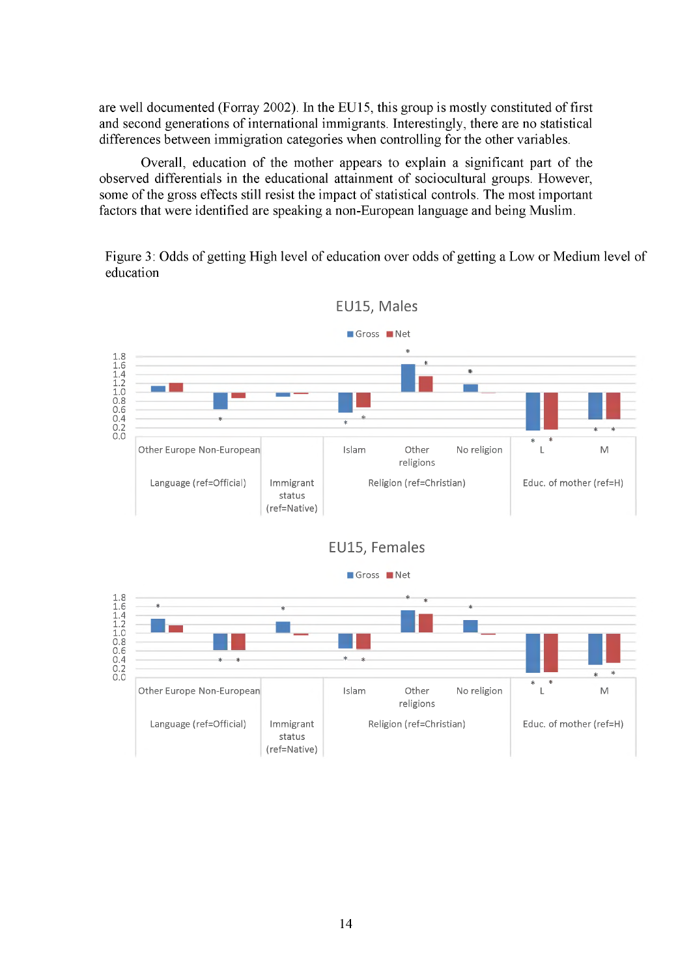are well documented (Forray 2002). In the EU15, this group is mostly constituted of first and second generations of international immigrants. Interestingly, there are no statistical differences between immigration categories when controlling for the other variables.

Overall, education of the mother appears to explain a significant part of the observed differentials in the educational attainment of sociocultural groups. However, some of the gross effects still resist the impact of statistical controls. The most important factors that were identified are speaking a non-European language and being Muslim.

Figure 3: Odds of getting High level of education over odds of getting a Low or Medium level of education



**EU15, Males**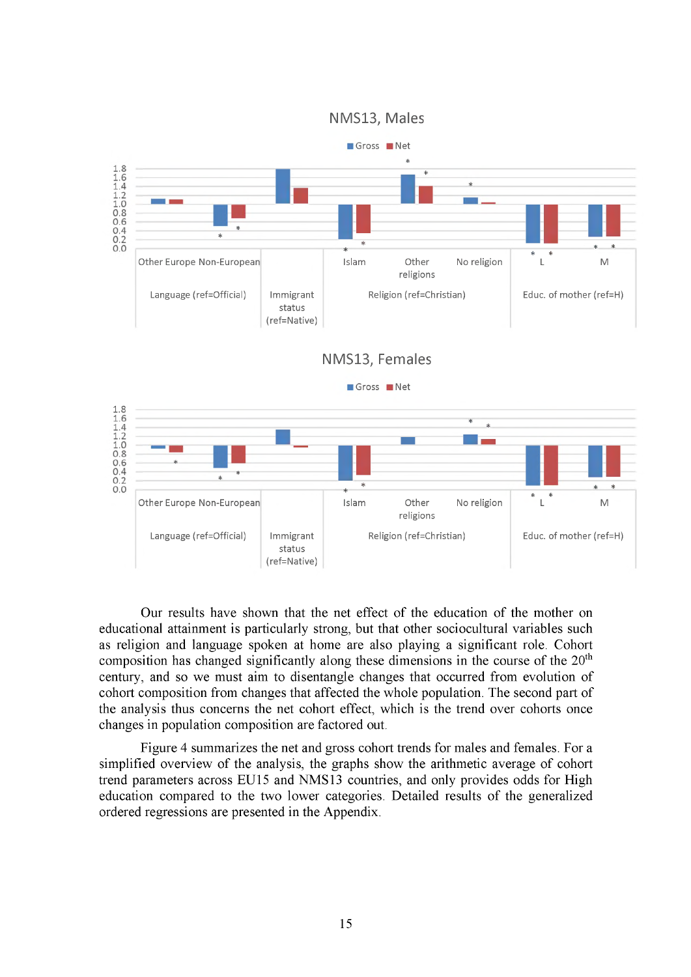



Our results have shown that the net effect of the education of the mother on educational attainment is particularly strong, but that other sociocultural variables such as religion and language spoken at home are also playing a significant role. Cohort composition has changed significantly along these dimensions in the course of the 20<sup>th</sup> century, and so we must aim to disentangle changes that occurred from evolution of cohort composition from changes that affected the whole population. The second part of the analysis thus concerns the net cohort effect, which is the trend over cohorts once changes in population composition are factored out.

Figure 4 summarizes the net and gross cohort trends for males and females. For a simplified overview of the analysis, the graphs show the arithmetic average of cohort trend parameters across EU15 and NMS13 countries, and only provides odds for High education compared to the two lower categories. Detailed results of the generalized ordered regressions are presented in the Appendix.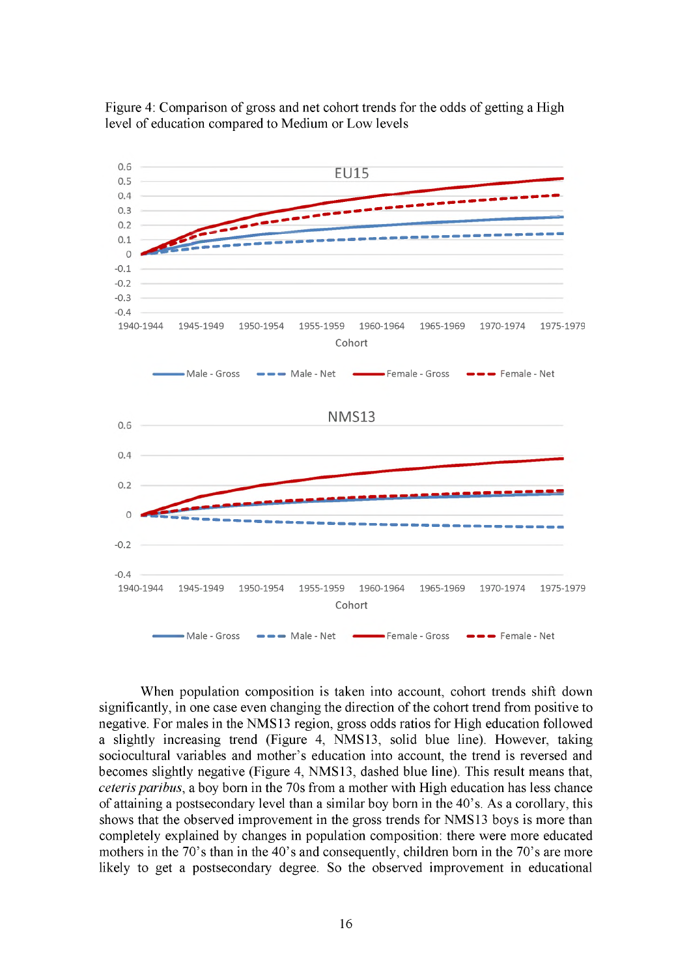



When population composition is taken into account, cohort trends shift down significantly, in one case even changing the direction of the cohort trend from positive to negative. For males in the NMS13 region, gross odds ratios for High education followed a slightly increasing trend (Figure 4, NMS13, solid blue line). However, taking sociocultural variables and mother's education into account, the trend is reversed and becomes slightly negative (Figure 4, NMS13, dashed blue line). This result means that, *ceteris paribus,* a boy born in the 70s from a mother with High education has less chance of attaining a postsecondary level than a similar boy born in the 40's. As a corollary, this shows that the observed improvement in the gross trends for NMS13 boys is more than completely explained by changes in population composition: there were more educated mothers in the 70's than in the 40's and consequently, children born in the 70's are more likely to get a postsecondary degree. So the observed improvement in educational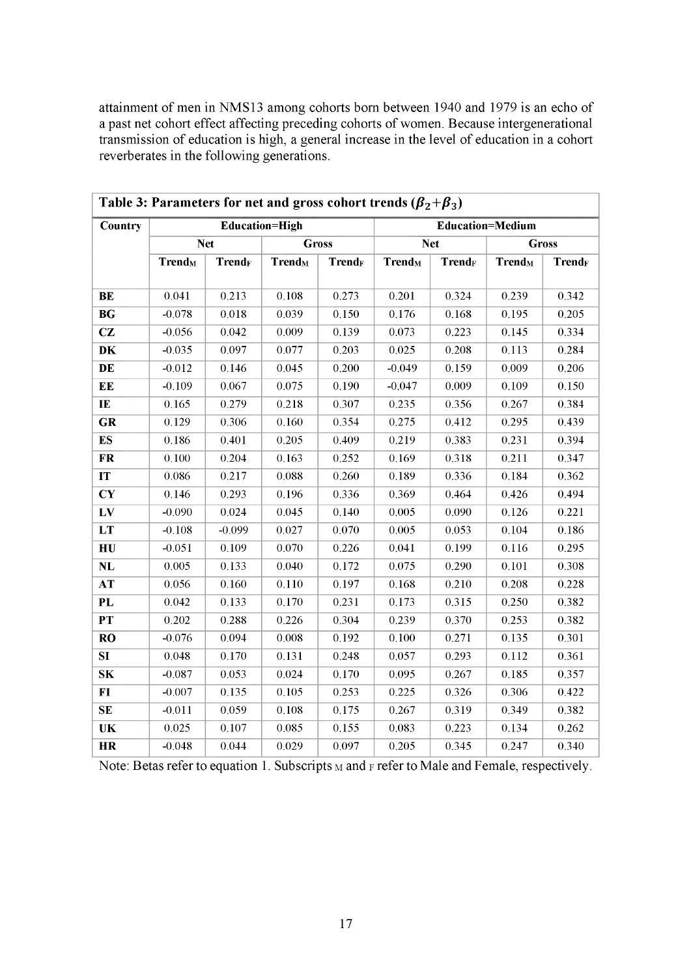attainment of men in NMS13 among cohorts born between 1940 and 1979 is an echo of a past net cohort effect affecting preceding cohorts of women. Because intergenerational transmission of education is high, a general increase in the level of education in a cohort reverberates in the following generations.

|                                              | Table 3: Parameters for net and gross cohort trends ( $\beta_2 + \beta_3$ ) |               |                           |                          |                           |               |                           |               |  |
|----------------------------------------------|-----------------------------------------------------------------------------|---------------|---------------------------|--------------------------|---------------------------|---------------|---------------------------|---------------|--|
| <b>Country</b>                               |                                                                             |               | <b>Education=High</b>     |                          |                           |               | <b>Education=Medium</b>   |               |  |
|                                              | <b>Net</b>                                                                  |               |                           | <b>Gross</b>             | <b>Net</b>                |               | <b>Gross</b>              |               |  |
|                                              | <b>Trend</b> <sub>M</sub>                                                   | <b>TrendF</b> | <b>Trend</b> <sub>M</sub> | <b>Trend<sub>F</sub></b> | <b>Trend</b> <sub>M</sub> | <b>Trendr</b> | <b>Trend</b> <sub>M</sub> | <b>TrendF</b> |  |
|                                              |                                                                             |               |                           |                          |                           |               |                           |               |  |
| BE                                           | 0.041                                                                       | 0.213         | 0.108                     | 0.273                    | 0.201                     | 0.324         | 0.239                     | 0.342         |  |
| BG                                           | $-0.078$                                                                    | 0.018         | 0.039                     | 0.150                    | 0.176                     | 0.168         | 0.195                     | 0.205         |  |
| CZ                                           | $-0.056$                                                                    | 0.042         | 0.009                     | 0.139                    | 0.073                     | 0.223         | 0.145                     | 0.334         |  |
| DK                                           | $-0.035$                                                                    | 0.097         | 0.077                     | 0.203                    | 0.025                     | 0.208         | 0.113                     | 0.284         |  |
| DE                                           | $-0.012$                                                                    | 0.146         | 0.045                     | 0.200                    | $-0.049$                  | 0.159         | 0.009                     | 0.206         |  |
| EE                                           | $-0.109$                                                                    | 0.067         | 0.075                     | 0.190                    | $-0.047$                  | 0.009         | 0.109                     | 0.150         |  |
| IE                                           | 0.165                                                                       | 0.279         | 0.218                     | 0.307                    | 0.235                     | 0.356         | 0.267                     | 0.384         |  |
| GR                                           | 0.129                                                                       | 0.306         | 0.160                     | 0.354                    | 0.275                     | 0.412         | 0.295                     | 0.439         |  |
| <b>ES</b>                                    | 0.186                                                                       | 0.401         | 0.205                     | 0.409                    | 0.219                     | 0.383         | 0.231                     | 0.394         |  |
| <b>FR</b>                                    | 0.100                                                                       | 0.204         | 0.163                     | 0.252                    | 0.169                     | 0.318         | 0.211                     | 0.347         |  |
| IT                                           | 0.086                                                                       | 0.217         | 0.088                     | 0.260                    | 0.189                     | 0.336         | 0.184                     | 0.362         |  |
| $\overline{\mathbf{C}\mathbf{Y}}$            | 0.146                                                                       | 0.293         | 0.196                     | 0.336                    | 0.369                     | 0.464         | 0.426                     | 0.494         |  |
| LV                                           | $-0.090$                                                                    | 0.024         | 0.045                     | 0.140                    | 0.005                     | 0.090         | 0.126                     | 0.221         |  |
| LT                                           | $-0.108$                                                                    | $-0.099$      | 0.027                     | 0.070                    | 0.005                     | 0.053         | 0.104                     | 0.186         |  |
| H <sub>U</sub>                               | $-0.051$                                                                    | 0.109         | 0.070                     | 0.226                    | 0.041                     | 0.199         | 0.116                     | 0.295         |  |
| $\mathbf{NL}$                                | 0.005                                                                       | 0.133         | 0.040                     | 0.172                    | 0.075                     | 0.290         | 0.101                     | 0.308         |  |
| AT                                           | 0.056                                                                       | 0.160         | 0.110                     | 0.197                    | 0.168                     | 0.210         | 0.208                     | 0.228         |  |
| PL                                           | 0.042                                                                       | 0.133         | 0.170                     | 0.231                    | 0.173                     | 0.315         | 0.250                     | 0.382         |  |
| PT                                           | 0.202                                                                       | 0.288         | 0.226                     | 0.304                    | 0.239                     | 0.370         | 0.253                     | 0.382         |  |
| <b>RO</b>                                    | $-0.076$                                                                    | 0.094         | 0.008                     | 0.192                    | 0.100                     | 0.271         | 0.135                     | 0.301         |  |
| SI                                           | 0.048                                                                       | 0.170         | 0.131                     | 0.248                    | 0.057                     | 0.293         | 0.112                     | 0.361         |  |
| $\overline{\mathbf{S}}\overline{\mathbf{K}}$ | $-0.087$                                                                    | 0.053         | 0.024                     | 0.170                    | 0.095                     | 0.267         | 0.185                     | 0.357         |  |
| FI                                           | $-0.007$                                                                    | 0.135         | 0.105                     | 0.253                    | 0.225                     | 0.326         | 0.306                     | 0.422         |  |
| SE                                           | $-0.011$                                                                    | 0.059         | 0.108                     | 0.175                    | 0.267                     | 0.319         | 0.349                     | 0.382         |  |
| <b>UK</b>                                    | 0.025                                                                       | 0.107         | 0.085                     | 0.155                    | 0.083                     | 0.223         | 0.134                     | 0.262         |  |
| HR                                           | $-0.048$                                                                    | 0.044         | 0.029                     | 0.097                    | 0.205                     | 0.345         | 0.247                     | 0.340         |  |

Note: Betas refer to equation 1. Subscripts  $M$  and  $F$  refer to Male and Female, respectively.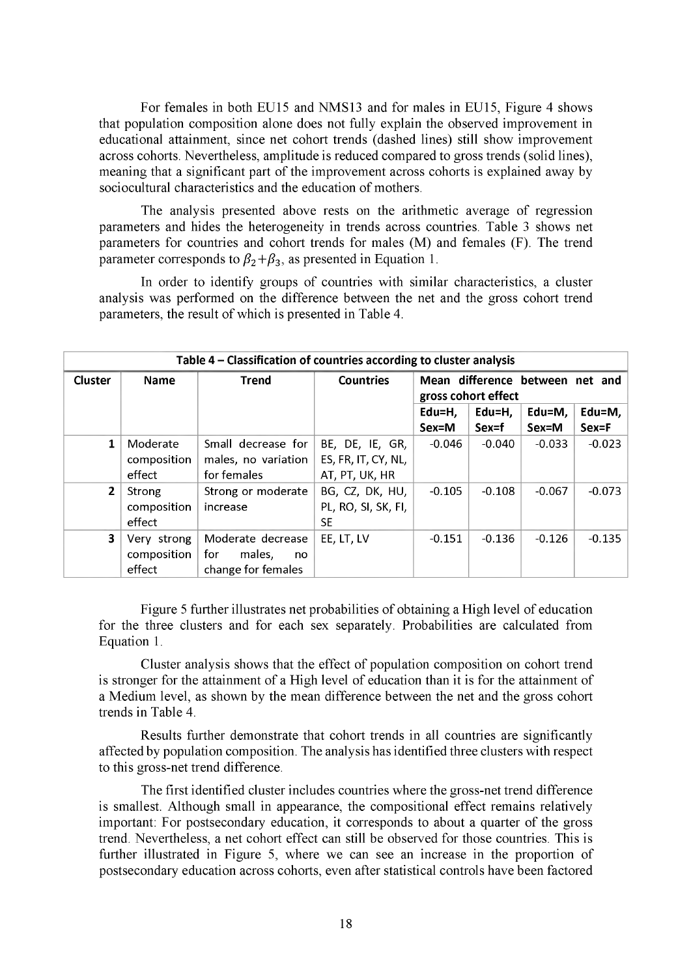For females in both EU15 and NMS13 and for males in EU15, Figure 4 shows that population composition alone does not fully explain the observed improvement in educational attainment, since net cohort trends (dashed lines) still show improvement across cohorts. Nevertheless, amplitude is reduced compared to gross trends (solid lines), meaning that a significant part of the improvement across cohorts is explained away by sociocultural characteristics and the education of mothers.

The analysis presented above rests on the arithmetic average of regression parameters and hides the heterogeneity in trends across countries. Table 3 shows net parameters for countries and cohort trends for males (M) and females (F). The trend parameter corresponds to  $\beta_2 + \beta_3$ , as presented in Equation 1.

In order to identify groups of countries with similar characteristics, a cluster analysis was performed on the difference between the net and the gross cohort trend parameters, the result of which is presented in Table 4.

|                | Table 4 - Classification of countries according to cluster analysis |                     |                     |                                                        |          |          |            |  |  |  |
|----------------|---------------------------------------------------------------------|---------------------|---------------------|--------------------------------------------------------|----------|----------|------------|--|--|--|
| Cluster        | <b>Name</b>                                                         | <b>Trend</b>        | <b>Countries</b>    | Mean difference between net and<br>gross cohort effect |          |          |            |  |  |  |
|                |                                                                     |                     |                     | Edu=H,                                                 | Edu=H,   | Edu=M,   | Edu=M, $ $ |  |  |  |
|                |                                                                     |                     |                     | Sex=M                                                  | Sex=f    | Sex=M    | Sex=F      |  |  |  |
| 1              | Moderate                                                            | Small decrease for  | BE, DE, IE, GR,     | $-0.046$                                               | $-0.040$ | $-0.033$ | $-0.023$   |  |  |  |
|                | composition                                                         | males, no variation | ES, FR, IT, CY, NL, |                                                        |          |          |            |  |  |  |
|                | effect                                                              | for females         | AT, PT, UK, HR      |                                                        |          |          |            |  |  |  |
| $\overline{2}$ | <b>Strong</b>                                                       | Strong or moderate  | BG, CZ, DK, HU,     | $-0.105$                                               | $-0.108$ | $-0.067$ | $-0.073$   |  |  |  |
|                | composition                                                         | increase            | PL, RO, SI, SK, FI, |                                                        |          |          |            |  |  |  |
|                | effect                                                              |                     | <b>SE</b>           |                                                        |          |          |            |  |  |  |
| 3              | Very strong                                                         | Moderate decrease   | EE, LT, LV          | $-0.151$                                               | $-0.136$ | $-0.126$ | $-0.135$   |  |  |  |
|                | composition                                                         | for<br>males,<br>no |                     |                                                        |          |          |            |  |  |  |
|                | effect                                                              | change for females  |                     |                                                        |          |          |            |  |  |  |

Figure 5 further illustrates net probabilities of obtaining a High level of education for the three clusters and for each sex separately. Probabilities are calculated from Equation 1.

Cluster analysis shows that the effect of population composition on cohort trend is stronger for the attainment of a High level of education than it is for the attainment of a Medium level, as shown by the mean difference between the net and the gross cohort trends in Table 4.

Results further demonstrate that cohort trends in all countries are significantly affected by population composition. The analysis has identified three clusters with respect to this gross-net trend difference.

The first identified cluster includes countries where the gross-net trend difference is smallest. Although small in appearance, the compositional effect remains relatively important: For postsecondary education, it corresponds to about a quarter of the gross trend. Nevertheless, a net cohort effect can still be observed for those countries. This is further illustrated in Figure 5, where we can see an increase in the proportion of postsecondary education across cohorts, even after statistical controls have been factored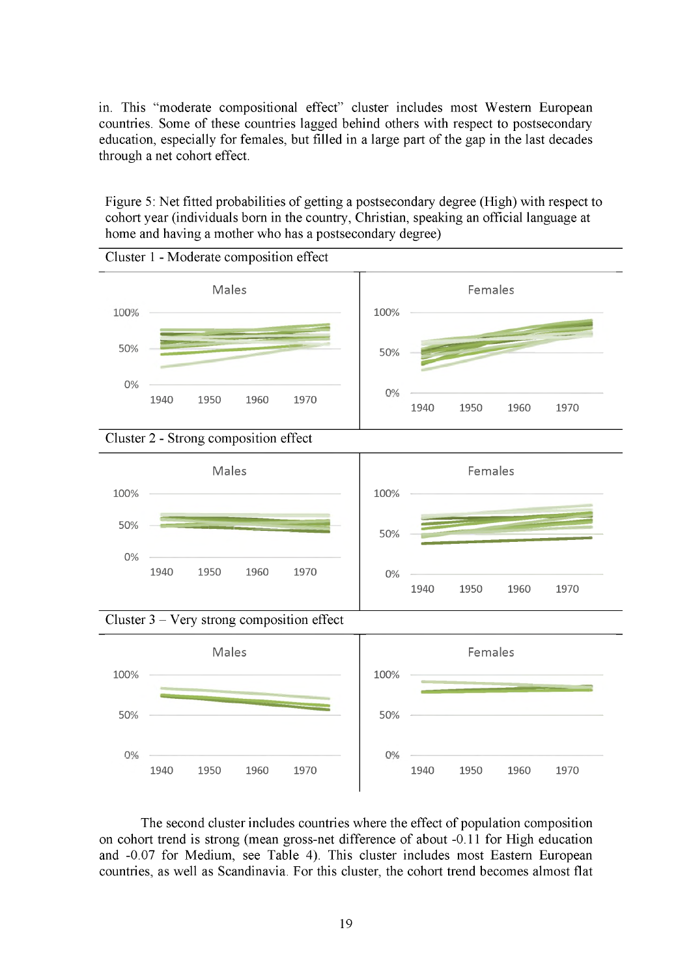in. This "moderate compositional effect" cluster includes most Western European countries. Some of these countries lagged behind others with respect to postsecondary education, especially for females, but filled in a large part of the gap in the last decades through a net cohort effect.

Figure 5: Net fitted probabilities of getting a postsecondary degree (High) with respect to cohort year (individuals born in the country, Christian, speaking an official language at home and having a mother who has a postsecondary degree)



The second cluster includes countries where the effect of population composition on cohort trend is strong (mean gross-net difference of about -0.11 for High education and -0.07 for Medium, see Table 4). This cluster includes most Eastern European countries, as well as Scandinavia. For this cluster, the cohort trend becomes almost flat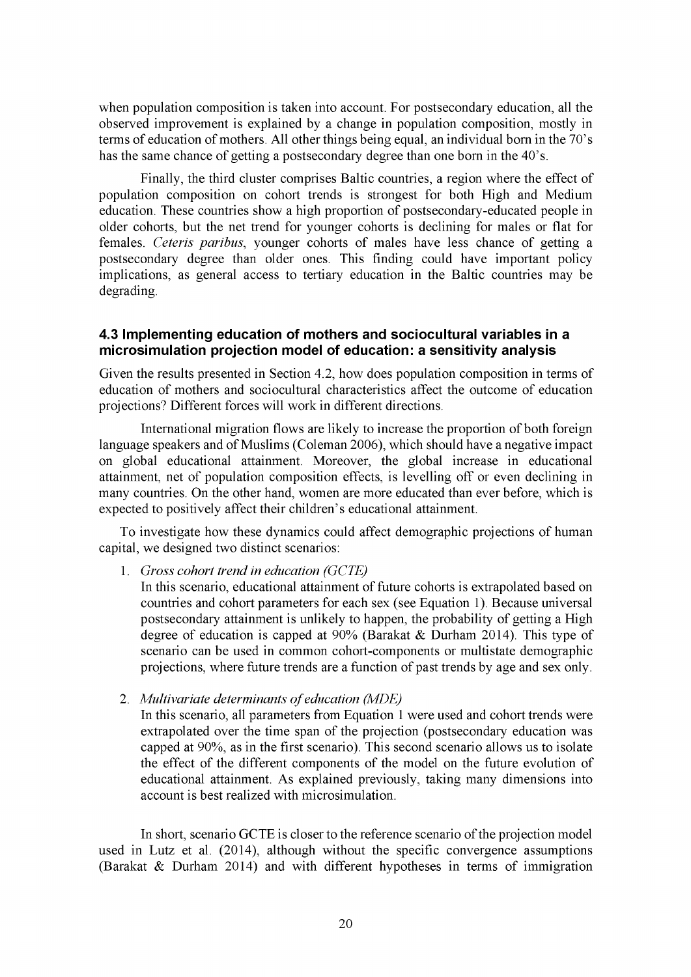when population composition is taken into account. For postsecondary education, all the observed improvement is explained by a change in population composition, mostly in terms of education of mothers. All other things being equal, an individual born in the 70's has the same chance of getting a postsecondary degree than one born in the 40's.

Finally, the third cluster comprises Baltic countries, a region where the effect of population composition on cohort trends is strongest for both High and Medium education. These countries show a high proportion of postsecondary-educated people in older cohorts, but the net trend for younger cohorts is declining for males or flat for females. *Ceteris paribus,* younger cohorts of males have less chance of getting a postsecondary degree than older ones. This finding could have important policy implications, as general access to tertiary education in the Baltic countries may be degrading.

#### **4.3 Implementing education of mothers and sociocultural variables in a microsimulation projection model of education: a sensitivity analysis**

Given the results presented in Section 4.2, how does population composition in terms of education of mothers and sociocultural characteristics affect the outcome of education projections? Different forces will work in different directions.

International migration flows are likely to increase the proportion of both foreign language speakers and of Muslims (Coleman 2006), which should have a negative impact on global educational attainment. Moreover, the global increase in educational attainment, net of population composition effects, is levelling off or even declining in many countries. On the other hand, women are more educated than ever before, which is expected to positively affect their children's educational attainment.

To investigate how these dynamics could affect demographic projections of human capital, we designed two distinct scenarios:

1. *Gross cohort trend in education (GCTE)*

In this scenario, educational attainment of future cohorts is extrapolated based on countries and cohort parameters for each sex (see Equation 1). Because universal postsecondary attainment is unlikely to happen, the probability of getting a High degree of education is capped at 90% (Barakat & Durham 2014). This type of scenario can be used in common cohort-components or multistate demographic projections, where future trends are a function of past trends by age and sex only.

2. *Multivariate determinants of education (MDE)*

In this scenario, all parameters from Equation 1 were used and cohort trends were extrapolated over the time span of the projection (postsecondary education was capped at 90%, as in the first scenario). This second scenario allows us to isolate the effect of the different components of the model on the future evolution of educational attainment. As explained previously, taking many dimensions into account is best realized with microsimulation.

In short, scenario GCTE is closer to the reference scenario of the projection model used in Lutz et al. (2014), although without the specific convergence assumptions (Barakat & Durham 2014) and with different hypotheses in terms of immigration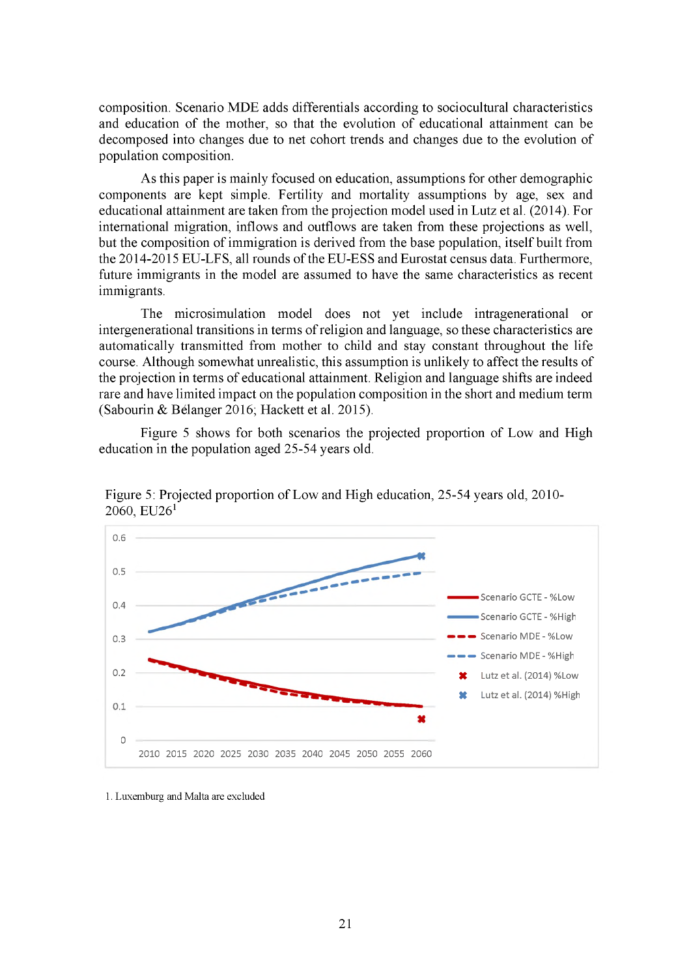composition. Scenario MDE adds differentials according to sociocultural characteristics and education of the mother, so that the evolution of educational attainment can be decomposed into changes due to net cohort trends and changes due to the evolution of population composition.

As this paper is mainly focused on education, assumptions for other demographic components are kept simple. Fertility and mortality assumptions by age, sex and educational attainment are taken from the projection model used in Lutz et al. (2014). For international migration, inflows and outflows are taken from these projections as well, but the composition of immigration is derived from the base population, itself built from the 2014-2015 EU-LFS, all rounds of the EU-ESS and Eurostat census data. Furthermore, future immigrants in the model are assumed to have the same characteristics as recent immigrants.

The microsimulation model does not yet include intragenerational or intergenerational transitions in terms of religion and language, so these characteristics are automatically transmitted from mother to child and stay constant throughout the life course. Although somewhat unrealistic, this assumption is unlikely to affect the results of the projection in terms of educational attainment. Religion and language shifts are indeed rare and have limited impact on the population composition in the short and medium term (Sabourin & Belanger 2016; Hackett et al. 2015).

Figure 5 shows for both scenarios the projected proportion of Low and High education in the population aged 25-54 years old.



Figure 5: Projected proportion of Low and High education, 25-54 years old, 2010  $2060, EU26<sup>1</sup>$ 

1. Luxemburg and Malta are excluded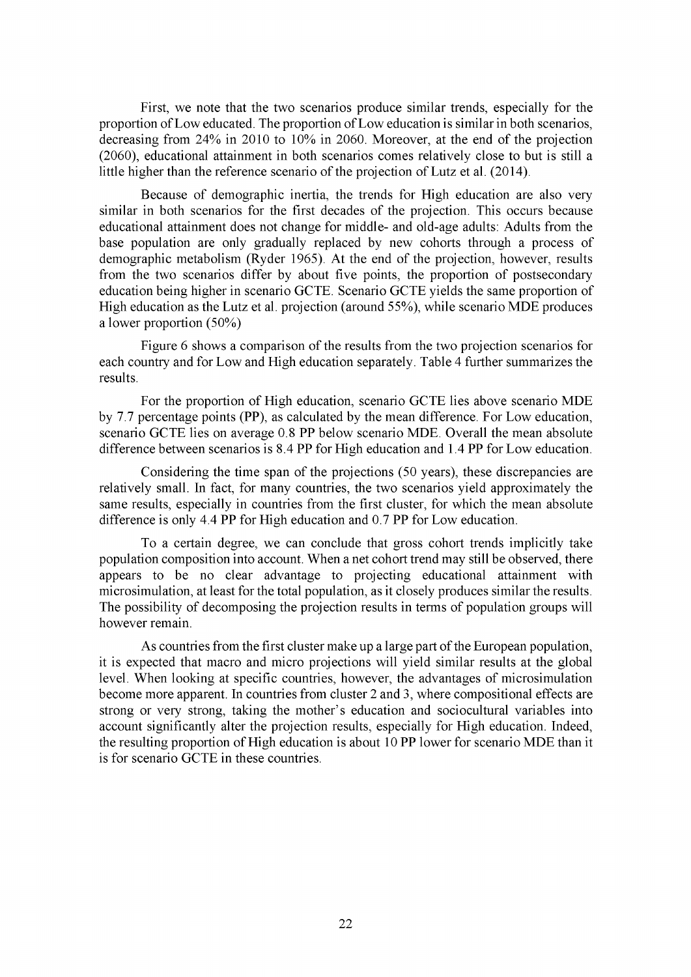First, we note that the two scenarios produce similar trends, especially for the proportion of Low educated. The proportion of Low education is similar in both scenarios, decreasing from 24% in 2010 to 10% in 2060. Moreover, at the end of the projection (2060), educational attainment in both scenarios comes relatively close to but is still a little higher than the reference scenario of the projection of Lutz et al. (2014).

Because of demographic inertia, the trends for High education are also very similar in both scenarios for the first decades of the projection. This occurs because educational attainment does not change for middle- and old-age adults: Adults from the base population are only gradually replaced by new cohorts through a process of demographic metabolism (Ryder 1965). At the end of the projection, however, results from the two scenarios differ by about five points, the proportion of postsecondary education being higher in scenario GCTE. Scenario GCTE yields the same proportion of High education as the Lutz et al. projection (around 55%), while scenario MDE produces a lower proportion (50%)

Figure 6 shows a comparison of the results from the two projection scenarios for each country and for Low and High education separately. Table 4 further summarizes the results.

For the proportion of High education, scenario GCTE lies above scenario MDE by 7.7 percentage points (PP), as calculated by the mean difference. For Low education, scenario GCTE lies on average 0.8 PP below scenario MDE. Overall the mean absolute difference between scenarios is 8.4 PP for High education and 1.4 PP for Low education.

Considering the time span of the projections (50 years), these discrepancies are relatively small. In fact, for many countries, the two scenarios yield approximately the same results, especially in countries from the first cluster, for which the mean absolute difference is only 4.4 PP for High education and 0.7 PP for Low education.

To a certain degree, we can conclude that gross cohort trends implicitly take population composition into account. When a net cohort trend may still be observed, there appears to be no clear advantage to projecting educational attainment with microsimulation, at least for the total population, as it closely produces similar the results. The possibility of decomposing the projection results in terms of population groups will however remain.

As countries from the first cluster make up a large part of the European population, it is expected that macro and micro projections will yield similar results at the global level. When looking at specific countries, however, the advantages of microsimulation become more apparent. In countries from cluster 2 and 3, where compositional effects are strong or very strong, taking the mother's education and sociocultural variables into account significantly alter the projection results, especially for High education. Indeed, the resulting proportion of High education is about 10 PP lower for scenario MDE than it is for scenario GCTE in these countries.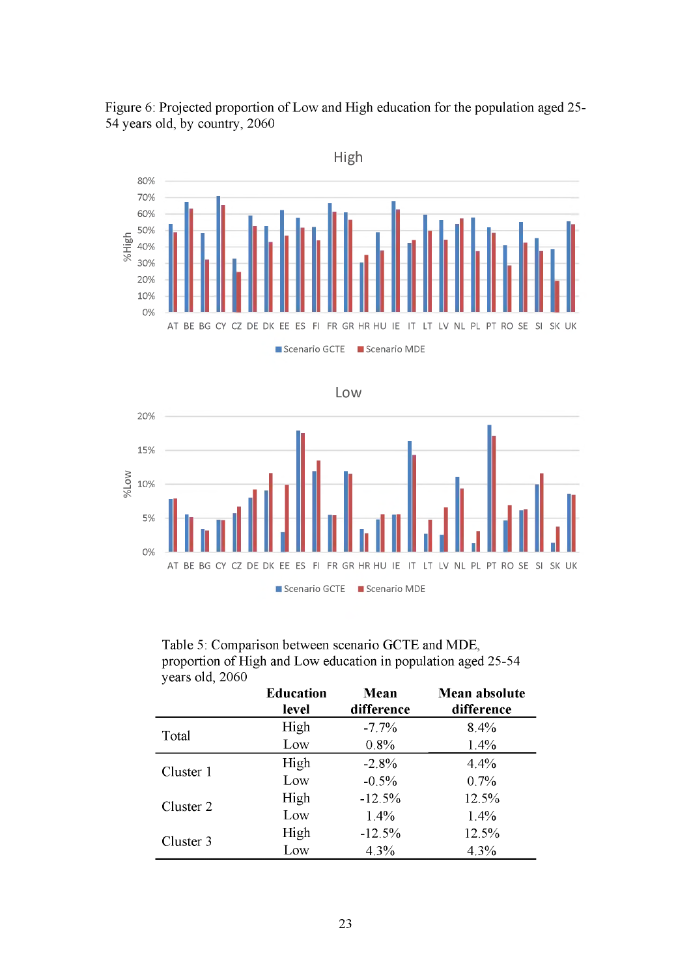

Figure 6: Projected proportion of Low and High education for the population aged 25 54 years old, by country, 2060





| Table 5: Comparison between scenario GCTE and MDE,            |
|---------------------------------------------------------------|
| proportion of High and Low education in population aged 25-54 |
| years old, 2060                                               |

|           | <b>Education</b><br>level | <b>Mean</b><br>difference | Mean absolute<br>difference |
|-----------|---------------------------|---------------------------|-----------------------------|
| Total     | High                      | $-7.7\%$                  | 8.4%                        |
|           | Low                       | 0.8%                      | 1.4%                        |
| Cluster 1 | High                      | $-2.8%$                   | 4.4%                        |
|           | Low                       | $-0.5%$                   | 0.7%                        |
| Cluster 2 | High                      | $-12.5%$                  | 12.5%                       |
|           | Low                       | 1.4%                      | 1.4%                        |
| Cluster 3 | High                      | $-12.5%$                  | 12.5%                       |
|           | Low                       | 4.3%                      | 4.3%                        |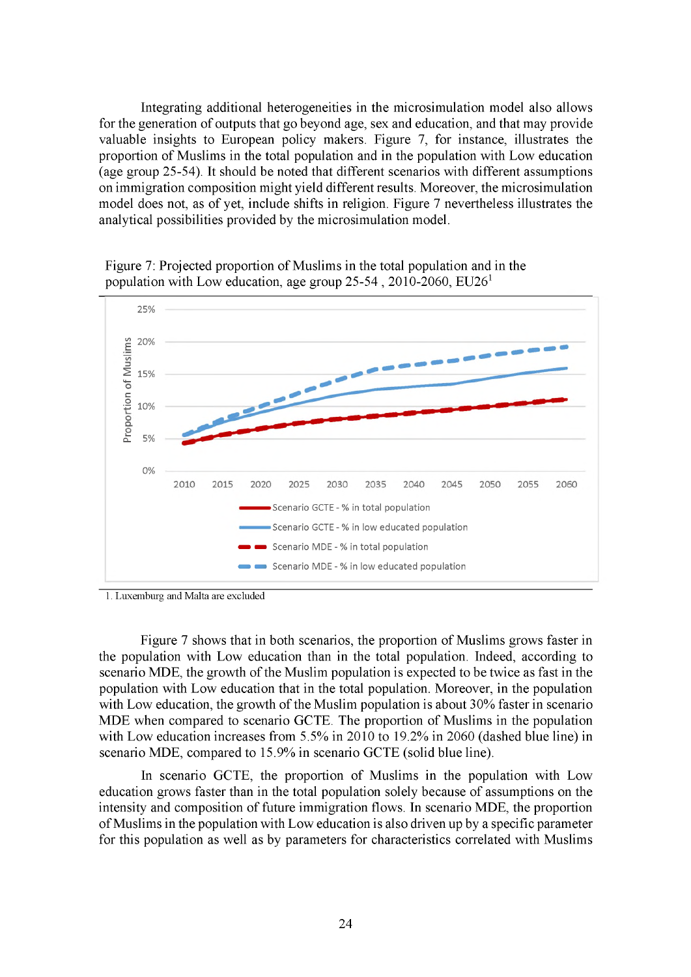Integrating additional heterogeneities in the microsimulation model also allows for the generation of outputs that go beyond age, sex and education, and that may provide valuable insights to European policy makers. Figure 7, for instance, illustrates the proportion of Muslims in the total population and in the population with Low education (age group 25-54). It should be noted that different scenarios with different assumptions on immigration composition might yield different results. Moreover, the microsimulation model does not, as of yet, include shifts in religion. Figure 7 nevertheless illustrates the analytical possibilities provided by the microsimulation model.



Figure 7: Projected proportion of Muslims in the total population and in the population with Low education, age group  $25-54$ ,  $2010-2060$ ,  $EU26<sup>1</sup>$ 

1. Luxemburg and Malta are excluded

Figure 7 shows that in both scenarios, the proportion of Muslims grows faster in the population with Low education than in the total population. Indeed, according to scenario MDE, the growth of the Muslim population is expected to be twice as fast in the population with Low education that in the total population. Moreover, in the population with Low education, the growth of the Muslim population is about 30% faster in scenario MDE when compared to scenario GCTE. The proportion of Muslims in the population with Low education increases from 5.5% in 2010 to 19.2% in 2060 (dashed blue line) in scenario MDE, compared to 15.9% in scenario GCTE (solid blue line).

In scenario GCTE, the proportion of Muslims in the population with Low education grows faster than in the total population solely because of assumptions on the intensity and composition of future immigration flows. In scenario MDE, the proportion of Muslims in the population with Low education is also driven up by a specific parameter for this population as well as by parameters for characteristics correlated with Muslims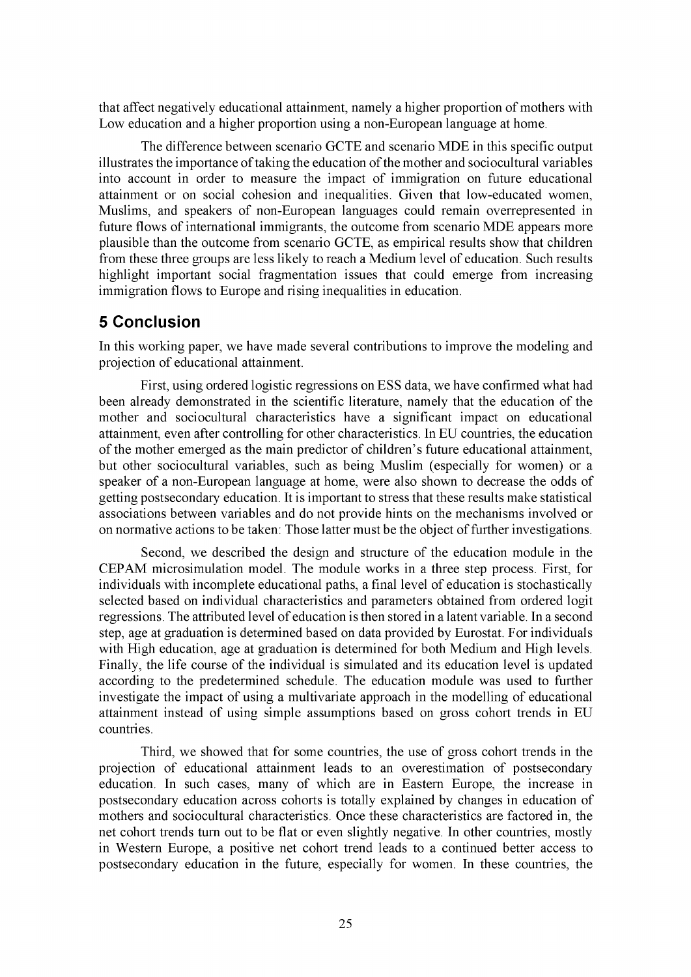that affect negatively educational attainment, namely a higher proportion of mothers with Low education and a higher proportion using a non-European language at home.

The difference between scenario GCTE and scenario MDE in this specific output illustrates the importance of taking the education of the mother and sociocultural variables into account in order to measure the impact of immigration on future educational attainment or on social cohesion and inequalities. Given that low-educated women, Muslims, and speakers of non-European languages could remain overrepresented in future flows of international immigrants, the outcome from scenario MDE appears more plausible than the outcome from scenario GCTE, as empirical results show that children from these three groups are less likely to reach a Medium level of education. Such results highlight important social fragmentation issues that could emerge from increasing immigration flows to Europe and rising inequalities in education.

# <span id="page-28-0"></span>**5 Conclusion**

In this working paper, we have made several contributions to improve the modeling and projection of educational attainment.

First, using ordered logistic regressions on ESS data, we have confirmed what had been already demonstrated in the scientific literature, namely that the education of the mother and sociocultural characteristics have a significant impact on educational attainment, even after controlling for other characteristics. In EU countries, the education of the mother emerged as the main predictor of children's future educational attainment, but other sociocultural variables, such as being Muslim (especially for women) or a speaker of a non-European language at home, were also shown to decrease the odds of getting postsecondary education. It is important to stress that these results make statistical associations between variables and do not provide hints on the mechanisms involved or on normative actions to be taken: Those latter must be the object of further investigations.

Second, we described the design and structure of the education module in the CEPAM microsimulation model. The module works in a three step process. First, for individuals with incomplete educational paths, a final level of education is stochastically selected based on individual characteristics and parameters obtained from ordered logit regressions. The attributed level of education is then stored in a latent variable. In a second step, age at graduation is determined based on data provided by Eurostat. For individuals with High education, age at graduation is determined for both Medium and High levels. Finally, the life course of the individual is simulated and its education level is updated according to the predetermined schedule. The education module was used to further investigate the impact of using a multivariate approach in the modelling of educational attainment instead of using simple assumptions based on gross cohort trends in EU countries.

Third, we showed that for some countries, the use of gross cohort trends in the projection of educational attainment leads to an overestimation of postsecondary education. In such cases, many of which are in Eastern Europe, the increase in postsecondary education across cohorts is totally explained by changes in education of mothers and sociocultural characteristics. Once these characteristics are factored in, the net cohort trends turn out to be flat or even slightly negative. In other countries, mostly in Western Europe, a positive net cohort trend leads to a continued better access to postsecondary education in the future, especially for women. In these countries, the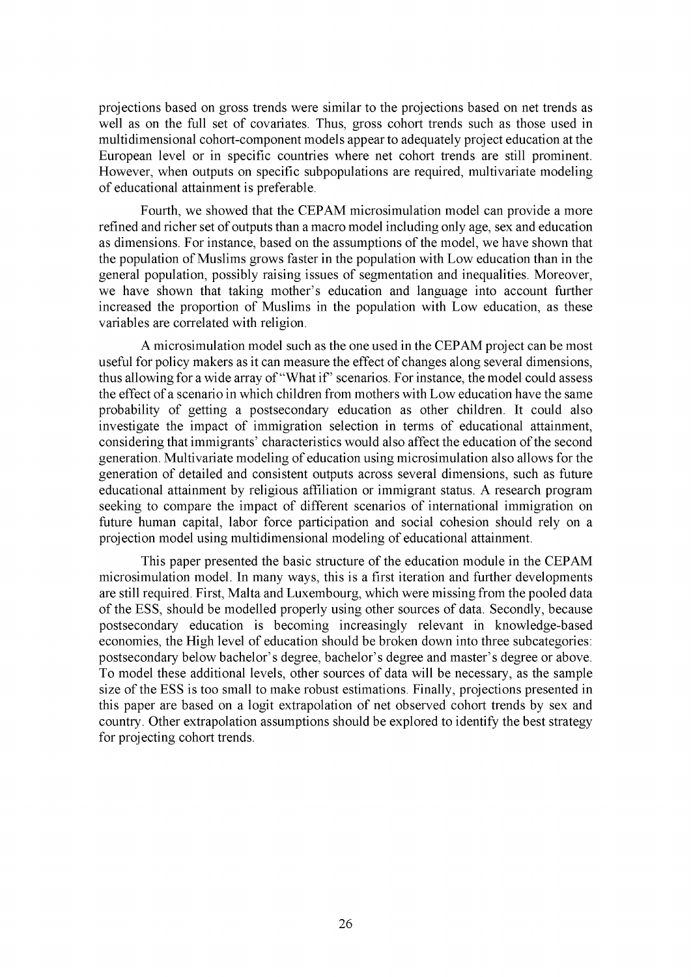projections based on gross trends were similar to the projections based on net trends as well as on the full set of covariates. Thus, gross cohort trends such as those used in multidimensional cohort-component models appear to adequately project education at the European level or in specific countries where net cohort trends are still prominent. However, when outputs on specific subpopulations are required, multivariate modeling of educational attainment is preferable.

Fourth, we showed that the CEPAM microsimulation model can provide a more refined and richer set of outputs than a macro model including only age, sex and education as dimensions. For instance, based on the assumptions of the model, we have shown that the population of Muslims grows faster in the population with Low education than in the general population, possibly raising issues of segmentation and inequalities. Moreover, we have shown that taking mother's education and language into account further increased the proportion of Muslims in the population with Low education, as these variables are correlated with religion.

A microsimulation model such as the one used in the CEPAM project can be most useful for policy makers as it can measure the effect of changes along several dimensions, thus allowing for a wide array of "What if" scenarios. For instance, the model could assess the effect of a scenario in which children from mothers with Low education have the same probability of getting a postsecondary education as other children. It could also investigate the impact of immigration selection in terms of educational attainment, considering that immigrants' characteristics would also affect the education of the second generation. Multivariate modeling of education using microsimulation also allows for the generation of detailed and consistent outputs across several dimensions, such as future educational attainment by religious affiliation or immigrant status. A research program seeking to compare the impact of different scenarios of international immigration on future human capital, labor force participation and social cohesion should rely on a projection model using multidimensional modeling of educational attainment.

This paper presented the basic structure of the education module in the CEPAM microsimulation model. In many ways, this is a first iteration and further developments are still required. First, Malta and Luxembourg, which were missing from the pooled data of the ESS, should be modelled properly using other sources of data. Secondly, because postsecondary education is becoming increasingly relevant in knowledge-based economies, the High level of education should be broken down into three subcategories: postsecondary below bachelor's degree, bachelor's degree and master's degree or above. To model these additional levels, other sources of data will be necessary, as the sample size of the ESS is too small to make robust estimations. Finally, projections presented in this paper are based on a logit extrapolation of net observed cohort trends by sex and country. Other extrapolation assumptions should be explored to identify the best strategy for projecting cohort trends.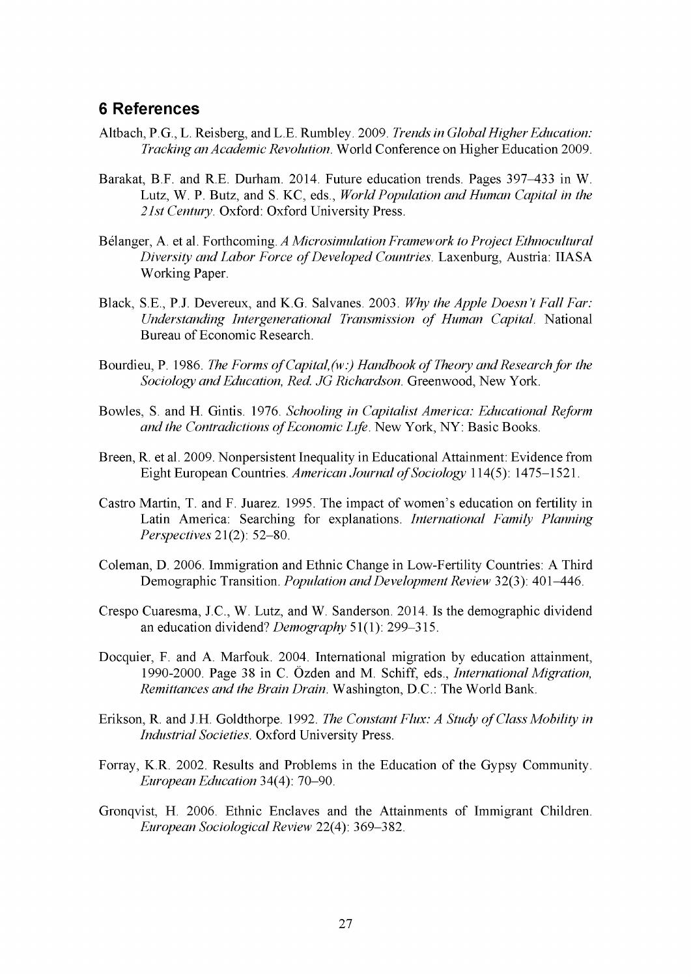### <span id="page-30-0"></span>**6 References**

- Altbach, P.G., L. Reisberg, and L.E. Rumbley. 2009. *Trends in Global Higher Education: Tracking an Academic Revolution.* World Conference on Higher Education 2009.
- Barakat, B.F. and R.E. Durham. 2014. Future education trends. Pages 397-433 in W. Lutz, W. P. Butz, and S. KC, eds., *World Population and Human Capital in the 21st Century.* Oxford: Oxford University Press.
- Belanger, A. et al. Forthcoming. *A Microsimulation Framework to Project Ethnocultural Diversity and Labor Force of Developed Countries. Laxenburg, Austria: IIASA* Working Paper.
- Black, S.E., P.J. Devereux, and K.G. Salvanes. 2003. *Why the Apple Doesn't Fall Far: Understanding Intergenerational Transmission of Human Capital.* National Bureau of Economic Research.
- Bourdieu, P. 1986. *The Forms of Capital, (w:) Handbook of Theory and Research for the Sociology and Education, Red. JG Richardson.* Greenwood, New York.
- Bowles, S. and H. Gintis. 1976. *Schooling in Capitalist America: Educational Reform and the Contradictions of Economic Life.* New York, NY: Basic Books.
- Breen, R. et al. 2009. Nonpersistent Inequality in Educational Attainment: Evidence from Eight European Countries. American Journal of Sociology 114(5): 1475-1521.
- Castro Martin, T. and F. Juarez. 1995. The impact of women's education on fertility in Latin America: Searching for explanations. *International Family Planning Perspectives* 21(2): 52-80.
- Coleman, D. 2006. Immigration and Ethnic Change in Low-Fertility Countries: A Third Demographic Transition. *Population and Development Review* 32(3): 401-446.
- Crespo Cuaresma, J.C., W. Lutz, and W. Sanderson. 2014. Is the demographic dividend an education dividend? *Demography* 51(1): 299-315.
- Docquier, F. and A. Marfouk. 2004. International migration by education attainment, 1990-2000. Page 38 in C. Ozden and M. Schiff, eds., *International Migration, Remittances and the Brain Drain.* Washington, D.C.: The World Bank.
- Erikson, R. and J.H. Goldthorpe. 1992. *The Constant Flux: A Study of Class Mobility in Industrial Societies.* Oxford University Press.
- Forray, K.R. 2002. Results and Problems in the Education of the Gypsy Community. *European Education* 34(4): 70-90.
- Gronqvist, H. 2006. Ethnic Enclaves and the Attainments of Immigrant Children. *European Sociological Review* 22(4): 369-382.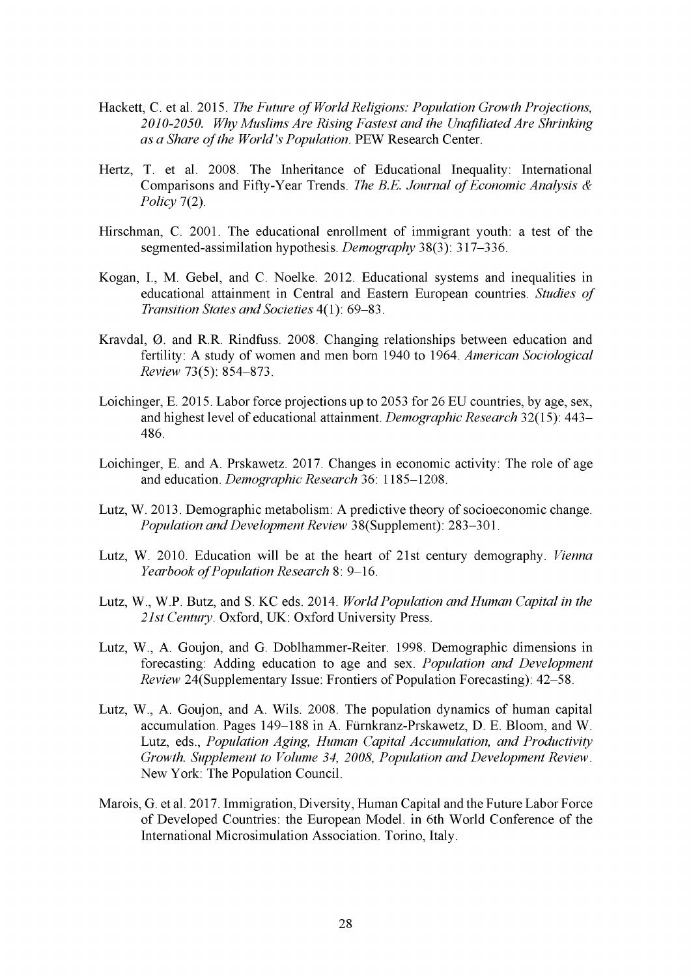- Hackett, C. et al. 2015. *The Future of World Religions: Population Growth Projections*, *2010-2050. Why Muslims Are Rising Fastest and the Unafiliated Are Shrinking as a Share of the World's Population.* PEW Research Center.
- Hertz, T. et al. 2008. The Inheritance of Educational Inequality: International Comparisons and Fifty-Year Trends. *The B.E. Journal of Economic Analysis & Policy* 7(2).
- Hirschman, C. 2001. The educational enrollment of immigrant youth: a test of the segmented-assimilation hypothesis. *Demography* 38(3): 317-336.
- Kogan, I., M. Gebel, and C. Noelke. 2012. Educational systems and inequalities in educational attainment in Central and Eastern European countries. *Studies of Transition States and Societies* 4(1): 69-83.
- Kravdal, 0. and R.R. Rindfuss. 2008. Changing relationships between education and fertility: A study of women and men born 1940 to 1964. *American Sociological Review* 73(5): 854-873.
- Loichinger, E. 2015. Labor force projections up to 2053 for 26 EU countries, by age, sex, and highest level of educational attainment. *Demographic Research* 32(15): 443 486.
- Loichinger, E. and A. Prskawetz. 2017. Changes in economic activity: The role of age and education. *Demographic Research* 36: 1185-1208.
- Lutz, W. 2013. Demographic metabolism: A predictive theory of socioeconomic change. *Population and Development Review* 38(Supplement): 283-301.
- Lutz, W. 2010. Education will be at the heart of 21st century demography. *Vienna Yearbook of Population Research* 8: 9-16.
- Lutz, W., W.P. Butz, and S. KC eds. 2014. *World Population and Human Capital in the 21st Century.* Oxford, UK: Oxford University Press.
- Lutz, W., A. Goujon, and G. Doblhammer-Reiter. 1998. Demographic dimensions in forecasting: Adding education to age and sex. *Population and Development Review* 24(Supplementary Issue: Frontiers of Population Forecasting): 42-58.
- Lutz, W., A. Goujon, and A. Wils. 2008. The population dynamics of human capital accumulation. Pages 149-188 in A. Furnkranz-Prskawetz, D. E. Bloom, and W. Lutz, eds., *Population Aging, Human Capital Accumulation, and Productivity Growth. Supplement to Volume 34, 2008, Population and Development Review.* New York: The Population Council.
- Marois, G. et al. 2017. Immigration, Diversity, Human Capital and the Future Labor Force of Developed Countries: the European Model. in 6th World Conference of the International Microsimulation Association. Torino, Italy.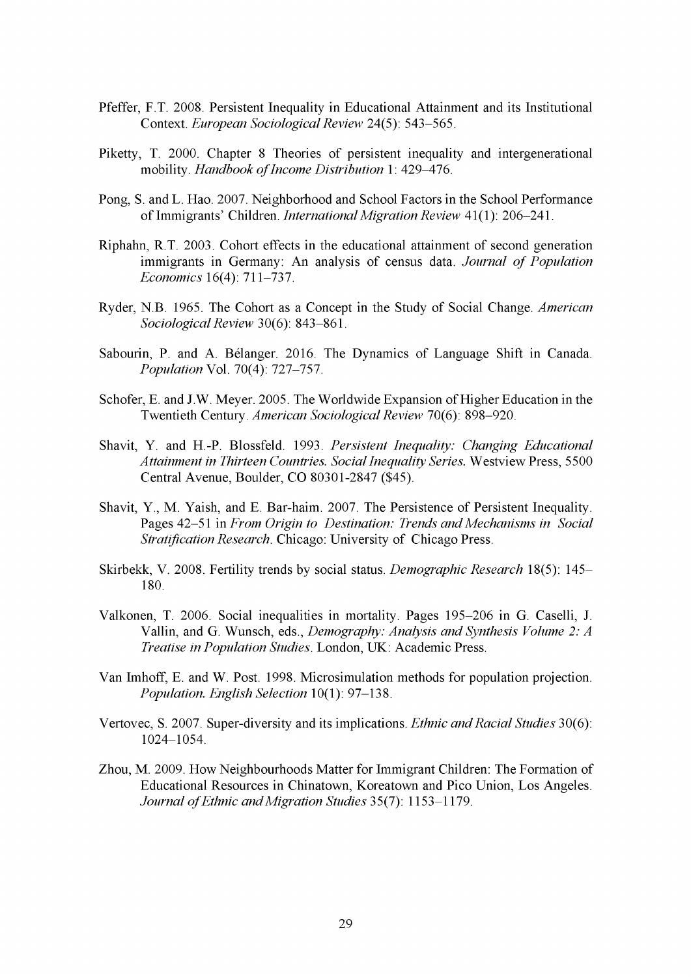- Pfeffer, F.T. 2008. Persistent Inequality in Educational Attainment and its Institutional Context. *European Sociological Review* 24(5): 543-565.
- Piketty, T. 2000. Chapter 8 Theories of persistent inequality and intergenerational mobility. *Handbook of Income Distribution* 1: 429-476.
- Pong, S. and L. Hao. 2007. Neighborhood and School Factors in the School Performance of Immigrants' Children. *International Migration Review* 41(1): 206-241.
- Riphahn, R.T. 2003. Cohort effects in the educational attainment of second generation immigrants in Germany: An analysis of census data. *Journal of Population Economics* 16(4): 711-737.
- Ryder, N.B. 1965. The Cohort as a Concept in the Study of Social Change. *American Sociological Review* 30(6): 843-861.
- Sabourin, P. and A. Belanger. 2016. The Dynamics of Language Shift in Canada. *Population* Vol. 70(4): 727-757.
- Schofer, E. and J.W. Meyer. 2005. The Worldwide Expansion of Higher Education in the Twentieth Century. *American Sociological Review* 70(6): 898-920.
- Shavit, Y. and H.-P. Blossfeld. 1993. *Persistent Inequality: Changing Educational Attainment in Thirteen Countries. Social Inequality Series.* Westview Press, 5500 Central Avenue, Boulder, CO 80301-2847 (\$45).
- Shavit, Y., M. Yaish, and E. Bar-haim. 2007. The Persistence of Persistent Inequality. Pages 42-51 in *From Origin to Destination: Trends and Mechanisms in Social Stratification Research*. Chicago: University of Chicago Press.
- Skirbekk, V. 2008. Fertility trends by social status. *Demographic Research* 18(5): 145 180.
- Valkonen, T. 2006. Social inequalities in mortality. Pages 195-206 in G. Caselli, J. Vallin, and G. Wunsch, eds., *Demography: Analysis and Synthesis Volume 2: A Treatise in Population Studies.* London, UK: Academic Press.
- Van Imhoff, E. and W. Post. 1998. Microsimulation methods for population projection. *Population. English Selection* 10(1): 97-138.
- Vertovec, S. 2007. Super-diversity and its implications. *Ethnic and Racial Studies* 30(6): 1024-1054.
- Zhou, M. 2009. How Neighbourhoods Matter for Immigrant Children: The Formation of Educational Resources in Chinatown, Koreatown and Pico Union, Los Angeles. *Journal of Ethnic and Migration Studies* 35(7): 1153-1179.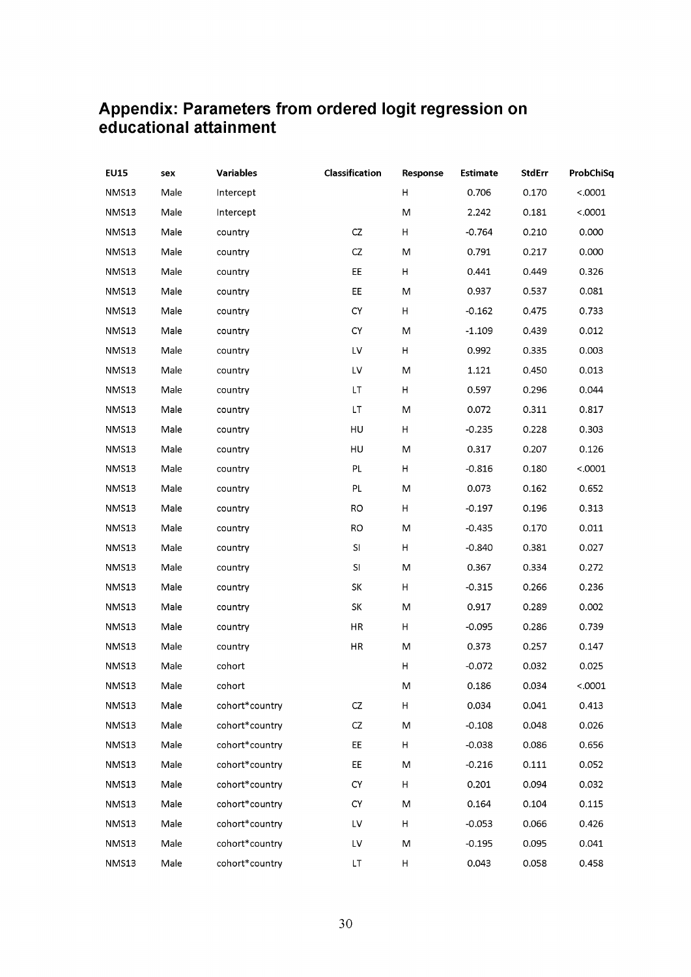## <span id="page-33-0"></span>**Appendix: Parameters from ordered logit regression on educational attainment**

| <b>EU15</b>  | sex  | <b>Variables</b> | Classification | Response | <b>Estimate</b> | <b>StdErr</b> | ProbChiSq |
|--------------|------|------------------|----------------|----------|-----------------|---------------|-----------|
| NMS13        | Male | Intercept        |                | н        | 0.706           | 0.170         | < .0001   |
| NMS13        | Male | Intercept        |                | M        | 2.242           | 0.181         | < .0001   |
| NMS13        | Male | country          | CZ             | н        | $-0.764$        | 0.210         | 0.000     |
| NMS13        | Male | country          | CZ             | M        | 0.791           | 0.217         | 0.000     |
| NMS13        | Male | country          | EE             | н        | 0.441           | 0.449         | 0.326     |
| NMS13        | Male | country          | EE             | M        | 0.937           | 0.537         | 0.081     |
| NMS13        | Male | country          | CY             | H        | $-0.162$        | 0.475         | 0.733     |
| NMS13        | Male | country          | CY             | М        | $-1.109$        | 0.439         | 0.012     |
| NMS13        | Male | country          | LV             | H        | 0.992           | 0.335         | 0.003     |
| NMS13        | Male | country          | LV             | M        | 1.121           | 0.450         | 0.013     |
| NMS13        | Male | country          | LT.            | H        | 0.597           | 0.296         | 0.044     |
| NMS13        | Male | country          | LT             | M        | 0.072           | 0.311         | 0.817     |
| NMS13        | Male | country          | HU             | H        | $-0.235$        | 0.228         | 0.303     |
| NMS13        | Male | country          | HU             | M        | 0.317           | 0.207         | 0.126     |
| NMS13        | Male | country          | PL             | н        | $-0.816$        | 0.180         | < .0001   |
| <b>NMS13</b> | Male | country          | PL             | M        | 0.073           | 0.162         | 0.652     |
| NMS13        | Male | country          | RO             | н        | $-0.197$        | 0.196         | 0.313     |
| NMS13        | Male | country          | RO             | M        | $-0.435$        | 0.170         | 0.011     |
| NMS13        | Male | country          | SI             | н        | $-0.840$        | 0.381         | 0.027     |
| NMS13        | Male | country          | SI             | M        | 0.367           | 0.334         | 0.272     |
| NMS13        | Male | country          | SK             | н        | $-0.315$        | 0.266         | 0.236     |
| NMS13        | Male | country          | SK             | M        | 0.917           | 0.289         | 0.002     |
| NMS13        | Male | country          | HR             | н        | $-0.095$        | 0.286         | 0.739     |
| NMS13        | Male | country          | HR             | M        | 0.373           | 0.257         | 0.147     |
| NMS13        | Male | cohort           |                | н        | $-0.072$        | 0.032         | 0.025     |
| <b>NMS13</b> | Male | cohort           |                | M        | 0.186           | 0.034         | < .0001   |
| NMS13        | Male | cohort*country   | CZ             | Н        | 0.034           | 0.041         | 0.413     |
| NMS13        | Male | cohort*country   | CZ             | M        | $-0.108$        | 0.048         | 0.026     |
| NMS13        | Male | cohort*country   | EE             | H        | $-0.038$        | 0.086         | 0.656     |
| NMS13        | Male | cohort*country   | EE             | M        | $-0.216$        | 0.111         | 0.052     |
| NMS13        | Male | cohort*country   | <b>CY</b>      | H        | 0.201           | 0.094         | 0.032     |
| NMS13        | Male | cohort*country   | CY             | M        | 0.164           | 0.104         | 0.115     |
| NMS13        | Male | cohort*country   | LV             | н        | $-0.053$        | 0.066         | 0.426     |
| NMS13        | Male | cohort*country   | LV             | M        | $-0.195$        | 0.095         | 0.041     |
| <b>NMS13</b> | Male | cohort*country   | LT             | н        | 0.043           | 0.058         | 0.458     |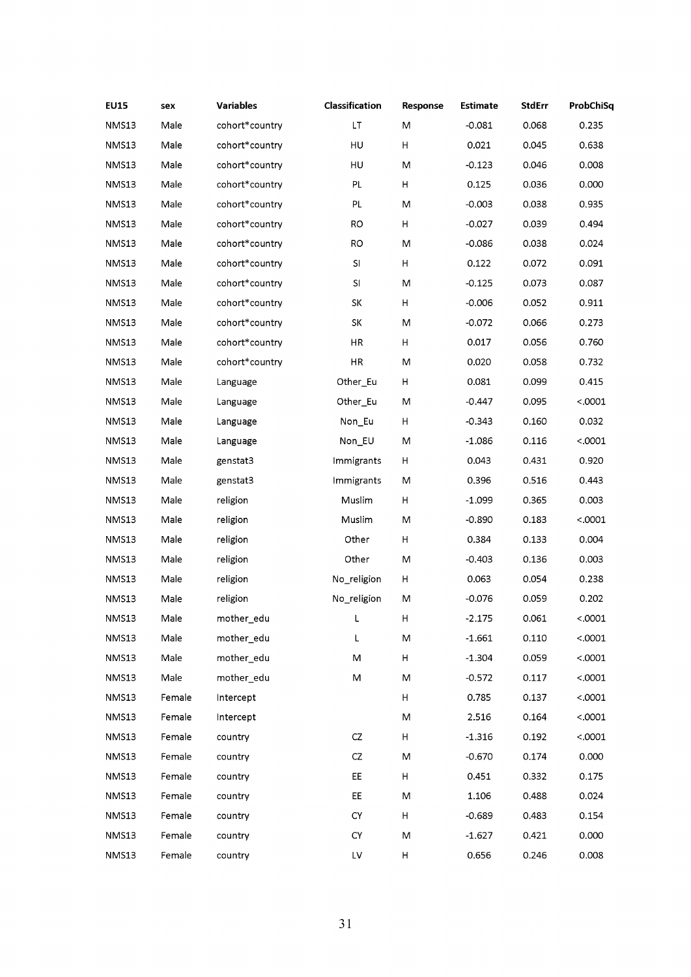| <b>EU15</b> | sex    | <b>Variables</b> | Classification | Response | <b>Estimate</b> | <b>StdErr</b> | ProbChiSq |
|-------------|--------|------------------|----------------|----------|-----------------|---------------|-----------|
| NMS13       | Male   | cohort*country   | LT             | M        | $-0.081$        | 0.068         | 0.235     |
| NMS13       | Male   | cohort*country   | HU             | Н        | 0.021           | 0.045         | 0.638     |
| NMS13       | Male   | cohort*country   | HU             | M        | $-0.123$        | 0.046         | 0.008     |
| NMS13       | Male   | cohort*country   | PL             | H        | 0.125           | 0.036         | 0.000     |
| NMS13       | Male   | cohort*country   | PL             | M        | $-0.003$        | 0.038         | 0.935     |
| NMS13       | Male   | cohort*country   | <b>RO</b>      | Н        | $-0.027$        | 0.039         | 0.494     |
| NMS13       | Male   | cohort*country   | <b>RO</b>      | M        | $-0.086$        | 0.038         | 0.024     |
| NMS13       | Male   | cohort*country   | $\sf{SI}$      | Н        | 0.122           | 0.072         | 0.091     |
| NMS13       | Male   | cohort*country   | SI             | M        | $-0.125$        | 0.073         | 0.087     |
| NMS13       | Male   | cohort*country   | SK             | Н        | $-0.006$        | 0.052         | 0.911     |
| NMS13       | Male   | cohort*country   | SK             | M        | $-0.072$        | 0.066         | 0.273     |
| NMS13       | Male   | cohort*country   | HR             | н        | 0.017           | 0.056         | 0.760     |
| NMS13       | Male   | cohort*country   | HR             | M        | 0.020           | 0.058         | 0.732     |
| NMS13       | Male   | Language         | Other_Eu       | н        | 0.081           | 0.099         | 0.415     |
| NMS13       | Male   | Language         | Other_Eu       | M        | $-0.447$        | 0.095         | < .0001   |
| NMS13       | Male   | Language         | Non_Eu         | н        | $-0.343$        | 0.160         | 0.032     |
| NMS13       | Male   | Language         | Non_EU         | M        | $-1.086$        | 0.116         | < .0001   |
| NMS13       | Male   | genstat3         | Immigrants     | н        | 0.043           | 0.431         | 0.920     |
| NMS13       | Male   | genstat3         | Immigrants     | M        | 0.396           | 0.516         | 0.443     |
| NMS13       | Male   | religion         | Muslim         | н        | $-1.099$        | 0.365         | 0.003     |
| NMS13       | Male   | religion         | Muslim         | M        | $-0.890$        | 0.183         | < .0001   |
| NMS13       | Male   | religion         | Other          | Н        | 0.384           | 0.133         | 0.004     |
| NMS13       | Male   | religion         | Other          | M        | $-0.403$        | 0.136         | 0.003     |
| NMS13       | Male   | religion         | No_religion    | н        | 0.063           | 0.054         | 0.238     |
| NMS13       | Male   | religion         | No_religion    | M        | $-0.076$        | 0.059         | 0.202     |
| NMS13       | Male   | mother_edu       | $\lfloor$      | н        | $-2.175$        | 0.061         | < .0001   |
| NMS13       | Male   | mother_edu       | Г              | M        | $-1.661$        | 0.110         | < .0001   |
| NMS13       | Male   | mother_edu       | M              | н        | $-1.304$        | 0.059         | < .0001   |
| NMS13       | Male   | mother_edu       | M              | M        | $-0.572$        | 0.117         | < .0001   |
| NMS13       | Female | Intercept        |                | н        | 0.785           | 0.137         | < .0001   |
| NMS13       | Female | Intercept        |                | M        | 2.516           | 0.164         | < .0001   |
| NMS13       | Female | country          | CZ             | Н        | $-1.316$        | 0.192         | < .0001   |
| NMS13       | Female | country          | CZ             | M        | $-0.670$        | 0.174         | 0.000     |
| NMS13       | Female | country          | EE             | Н        | 0.451           | 0.332         | 0.175     |
| NMS13       | Female | country          | EE             | M        | 1.106           | 0.488         | 0.024     |
| NMS13       | Female | country          | CY             | Н        | $-0.689$        | 0.483         | 0.154     |
| NMS13       | Female | country          | <b>CY</b>      | M        | $-1.627$        | 0.421         | 0.000     |
| NMS13       | Female | country          | LV             | Н        | 0.656           | 0.246         | 0.008     |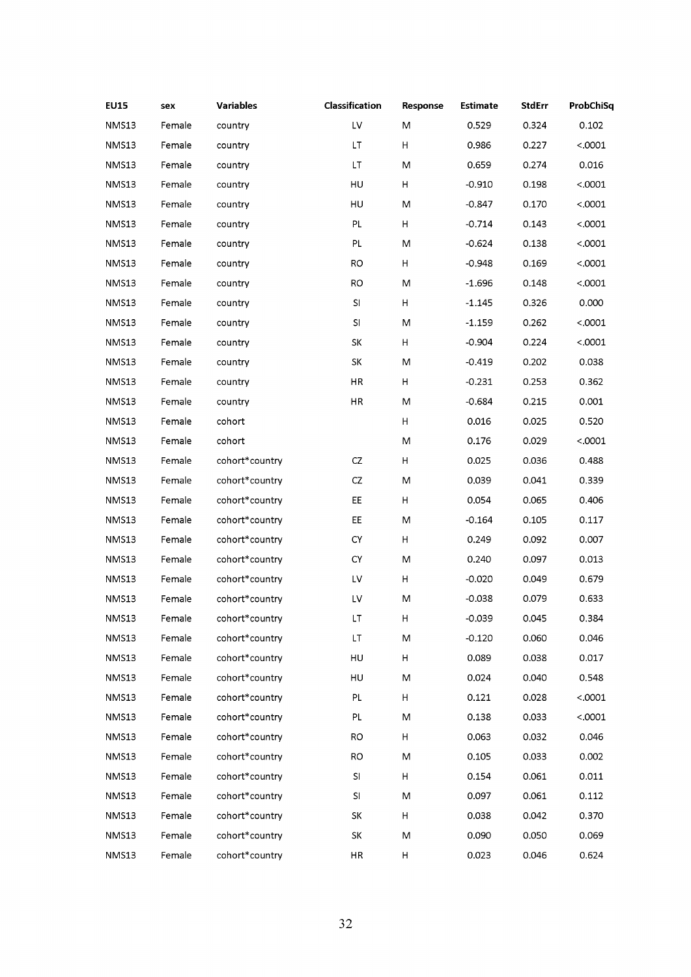| <b>EU15</b>  | sex    | <b>Variables</b> | Classification             | Response | <b>Estimate</b> | <b>StdErr</b> | ProbChiSq |
|--------------|--------|------------------|----------------------------|----------|-----------------|---------------|-----------|
| NMS13        | Female | country          | LV                         | М        | 0.529           | 0.324         | 0.102     |
| NMS13        | Female | country          | LT                         | н        | 0.986           | 0.227         | < .0001   |
| NMS13        | Female | country          | LT.                        | M        | 0.659           | 0.274         | 0.016     |
| NMS13        | Female | country          | HU                         | H        | $-0.910$        | 0.198         | < .0001   |
| NMS13        | Female | country          | HU                         | M        | -0.847          | 0.170         | < .0001   |
| NMS13        | Female | country          | PL                         | H        | $-0.714$        | 0.143         | < .0001   |
| NMS13        | Female | country          | PL                         | M        | $-0.624$        | 0.138         | < .0001   |
| NMS13        | Female | country          | RO                         | Н        | $-0.948$        | 0.169         | < .0001   |
| NMS13        | Female | country          | <b>RO</b>                  | М        | $-1.696$        | 0.148         | < .0001   |
| NMS13        | Female | country          | SI.                        | н        | $-1.145$        | 0.326         | 0.000     |
| NMS13        | Female | country          | SI                         | M        | $-1.159$        | 0.262         | < .0001   |
| NMS13        | Female | country          | SK                         | H        | -0.904          | 0.224         | < .0001   |
| NMS13        | Female | country          | SK                         | M        | $-0.419$        | 0.202         | 0.038     |
| NMS13        | Female | country          | HR                         | н        | $-0.231$        | 0.253         | 0.362     |
| NMS13        | Female | country          | HR                         | M        | $-0.684$        | 0.215         | 0.001     |
| NMS13        | Female | cohort           |                            | н        | 0.016           | 0.025         | 0.520     |
| NMS13        | Female | cohort           |                            | M        | 0.176           | 0.029         | < .0001   |
| NMS13        | Female | cohort*country   | CZ                         | н        | 0.025           | 0.036         | 0.488     |
| NMS13        | Female | cohort*country   | CZ                         | M        | 0.039           | 0.041         | 0.339     |
| NMS13        | Female | cohort*country   | EE                         | н        | 0.054           | 0.065         | 0.406     |
| NMS13        | Female | cohort*country   | EE                         | M        | $-0.164$        | 0.105         | 0.117     |
| NMS13        | Female | cohort*country   | CY                         | н        | 0.249           | 0.092         | 0.007     |
| NMS13        | Female | cohort*country   | CY                         | M        | 0.240           | 0.097         | 0.013     |
| NMS13        | Female | cohort*country   | LV.                        | H        | $-0.020$        | 0.049         | 0.679     |
| NMS13        | Female | cohort*country   | LV                         | M        | $-0.038$        | 0.079         | 0.633     |
| NMS13        | Female | cohort*country   | $\ensuremath{\mathsf{LT}}$ | H        | $-0.039$        | 0.045         | 0.384     |
| NMS13        | Female | cohort*country   | LT.                        | M        | $-0.120$        | 0.060         | 0.046     |
| NMS13        | Female | cohort*country   | HU                         | Н        | 0.089           | 0.038         | 0.017     |
| NMS13        | Female | cohort*country   | HU                         | M        | 0.024           | 0.040         | 0.548     |
| <b>NMS13</b> | Female | cohort*country   | PL                         | н        | 0.121           | 0.028         | < .0001   |
| NMS13        | Female | cohort*country   | PL.                        | M        | 0.138           | 0.033         | < .0001   |
| NMS13        | Female | cohort*country   | RO.                        | н        | 0.063           | 0.032         | 0.046     |
| NMS13        | Female | cohort*country   | RO.                        | M        | 0.105           | 0.033         | 0.002     |
| NMS13        | Female | cohort*country   | SI                         | Н        | 0.154           | 0.061         | 0.011     |
| NMS13        | Female | cohort*country   | S.                         | M        | 0.097           | 0.061         | 0.112     |
| NMS13        | Female | cohort*country   | SK                         | H        | 0.038           | 0.042         | 0.370     |
| NMS13        | Female | cohort*country   | SK                         | M        | 0.090           | 0.050         | 0.069     |
| NMS13        | Female | cohort*country   | HR                         | Н        | 0.023           | 0.046         | 0.624     |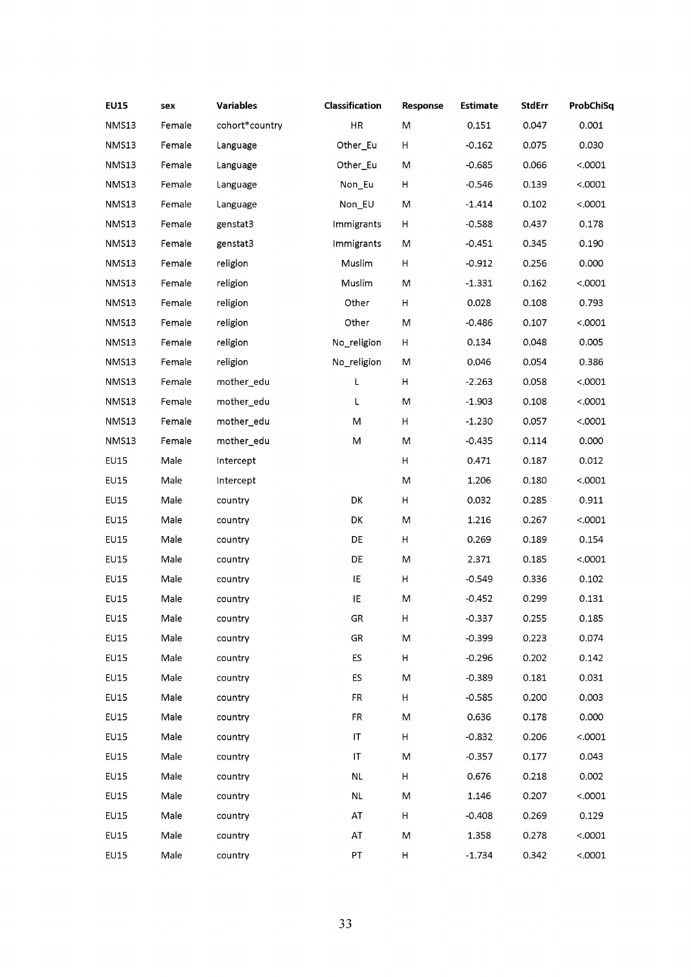| NMS13<br>Female<br>cohort*country<br>HR<br>0.001<br>M<br>0.151<br>0.047<br>NMS13<br>Female<br>Other_Eu<br>Н<br>$-0.162$<br>0.030<br>Language<br>0.075<br>Female<br>< .0001<br>NMS13<br>Other_Eu<br>M<br>$-0.685$<br>0.066<br>Language<br>NMS13<br>Female<br>< .0001<br>Non_Eu<br>н<br>$-0.546$<br>0.139<br>Language<br>< .0001<br>NMS13<br>Female<br>M<br>0.102<br>Language<br>Non_EU<br>$-1.414$<br>NMS13<br>Female<br>н<br>0.437<br>0.178<br>genstat3<br>Immigrants<br>$-0.588$<br>Female<br>0.190<br>NMS13<br>genstat3<br>Immigrants<br>M<br>$-0.451$<br>0.345<br>Female<br>Muslim<br>NMS13<br>religion<br>н<br>$-0.912$<br>0.256<br>0.000<br>Female<br>religion<br>Muslim<br>0.162<br>< .0001<br>NMS13<br>M<br>$-1.331$<br>Other<br>0.793<br>NMS13<br>Female<br>religion<br>Н<br>0.028<br>0.108<br>< .0001<br>NMS13<br>Female<br>religion<br>Other<br>M<br>$-0.486$<br>0.107<br>0.048<br>0.005<br>NMS13<br>Female<br>religion<br>No_religion<br>H<br>0.134<br>Female<br>0.386<br>NMS13<br>religion<br>No_religion<br>M<br>0.046<br>0.054<br>L<br>$\boldsymbol{\mathsf{H}}$<br>NMS13<br>Female<br>mother_edu<br>0.058<br>< .0001<br>$-2.263$<br>Female<br>mother_edu<br>0.108<br>< .0001<br><b>NMS13</b><br>L<br>M<br>$-1.903$<br>mother_edu<br>< .0001<br>NMS13<br>Female<br>M<br>н<br>$-1.230$<br>0.057<br>0.000<br>NMS13<br>Female<br>mother_edu<br>M<br>M<br>$-0.435$<br>0.114<br>Male<br>EU15<br>н<br>0.471<br>0.012<br>Intercept<br>0.187<br>Male<br>EU15<br>M<br>1.206<br>0.180<br>< .0001<br>Intercept<br>Male<br>DK<br>Н<br><b>EU15</b><br>0.032<br>0.285<br>0.911<br>country<br>Male<br>< .0001<br>EU15<br>DK<br>M<br>1.216<br>0.267<br>country<br>Male<br>0.154<br><b>EU15</b><br>DE<br>Н<br>0.269<br>0.189<br>country<br>Male<br><b>EU15</b><br>DE<br>M<br>2.371<br>0.185<br>< .0001<br>country<br>Male<br>IE<br>H<br>0.102<br>EU15<br>$-0.549$<br>0.336<br>country<br>Male<br>IE<br>M<br>$-0.452$<br>0.299<br>0.131<br><b>EU15</b><br>country<br>$-0.337$<br>0.255<br>EU15<br>Male<br>GR<br>н<br>0.185<br>country<br><b>EU15</b><br>Male<br>GR<br>0.074<br>country<br>М<br>$-0.399$<br>0.223<br><b>EU15</b><br>Male<br>0.142<br>country<br>ES.<br>H<br>$-0.296$<br>0.202<br>Male<br><b>EU15</b><br>ES<br>M<br>$-0.389$<br>0.181<br>0.031<br>country<br>EU15<br>Male<br>$-0.585$<br>0.003<br>FR<br>H<br>0.200<br>country<br><b>EU15</b><br>Male<br>0.000<br>FR.<br>м<br>0.636<br>0.178<br>country<br>Male<br><b>EU15</b><br>н<br>$-0.832$<br>0.206<br>< .0001<br>country<br>IΤ<br><b>EU15</b><br>Male<br>0.043<br>country<br>IT<br>M<br>$-0.357$<br>0.177<br><b>EU15</b><br>Male<br>0.002<br>country<br><b>NL</b><br>н<br>0.676<br>0.218<br>Male<br>< .0001<br>EU15<br>NL.<br>M<br>1.146<br>0.207<br>country<br><b>EU15</b><br>Male<br>AT<br>0.129<br>country<br>H<br>$-0.408$<br>0.269<br>Male<br>< .0001<br>EU15<br>country<br>AT<br>M<br>1.358<br>0.278<br>Male<br><b>EU15</b><br>PT.<br>H<br>$-1.734$<br>0.342<br>< .0001<br>country | <b>EU15</b> | sex | <b>Variables</b> | Classification | Response | <b>Estimate</b> | <b>StdErr</b> | ProbChiSq |
|---------------------------------------------------------------------------------------------------------------------------------------------------------------------------------------------------------------------------------------------------------------------------------------------------------------------------------------------------------------------------------------------------------------------------------------------------------------------------------------------------------------------------------------------------------------------------------------------------------------------------------------------------------------------------------------------------------------------------------------------------------------------------------------------------------------------------------------------------------------------------------------------------------------------------------------------------------------------------------------------------------------------------------------------------------------------------------------------------------------------------------------------------------------------------------------------------------------------------------------------------------------------------------------------------------------------------------------------------------------------------------------------------------------------------------------------------------------------------------------------------------------------------------------------------------------------------------------------------------------------------------------------------------------------------------------------------------------------------------------------------------------------------------------------------------------------------------------------------------------------------------------------------------------------------------------------------------------------------------------------------------------------------------------------------------------------------------------------------------------------------------------------------------------------------------------------------------------------------------------------------------------------------------------------------------------------------------------------------------------------------------------------------------------------------------------------------------------------------------------------------------------------------------------------------------------------------------------------------------------------------------------------------------------------------------------------------------------------------------------------------------------------------------------------------------------------------------------------------------------------------------------------------------------------------------------------------------|-------------|-----|------------------|----------------|----------|-----------------|---------------|-----------|
|                                                                                                                                                                                                                                                                                                                                                                                                                                                                                                                                                                                                                                                                                                                                                                                                                                                                                                                                                                                                                                                                                                                                                                                                                                                                                                                                                                                                                                                                                                                                                                                                                                                                                                                                                                                                                                                                                                                                                                                                                                                                                                                                                                                                                                                                                                                                                                                                                                                                                                                                                                                                                                                                                                                                                                                                                                                                                                                                                         |             |     |                  |                |          |                 |               |           |
|                                                                                                                                                                                                                                                                                                                                                                                                                                                                                                                                                                                                                                                                                                                                                                                                                                                                                                                                                                                                                                                                                                                                                                                                                                                                                                                                                                                                                                                                                                                                                                                                                                                                                                                                                                                                                                                                                                                                                                                                                                                                                                                                                                                                                                                                                                                                                                                                                                                                                                                                                                                                                                                                                                                                                                                                                                                                                                                                                         |             |     |                  |                |          |                 |               |           |
|                                                                                                                                                                                                                                                                                                                                                                                                                                                                                                                                                                                                                                                                                                                                                                                                                                                                                                                                                                                                                                                                                                                                                                                                                                                                                                                                                                                                                                                                                                                                                                                                                                                                                                                                                                                                                                                                                                                                                                                                                                                                                                                                                                                                                                                                                                                                                                                                                                                                                                                                                                                                                                                                                                                                                                                                                                                                                                                                                         |             |     |                  |                |          |                 |               |           |
|                                                                                                                                                                                                                                                                                                                                                                                                                                                                                                                                                                                                                                                                                                                                                                                                                                                                                                                                                                                                                                                                                                                                                                                                                                                                                                                                                                                                                                                                                                                                                                                                                                                                                                                                                                                                                                                                                                                                                                                                                                                                                                                                                                                                                                                                                                                                                                                                                                                                                                                                                                                                                                                                                                                                                                                                                                                                                                                                                         |             |     |                  |                |          |                 |               |           |
|                                                                                                                                                                                                                                                                                                                                                                                                                                                                                                                                                                                                                                                                                                                                                                                                                                                                                                                                                                                                                                                                                                                                                                                                                                                                                                                                                                                                                                                                                                                                                                                                                                                                                                                                                                                                                                                                                                                                                                                                                                                                                                                                                                                                                                                                                                                                                                                                                                                                                                                                                                                                                                                                                                                                                                                                                                                                                                                                                         |             |     |                  |                |          |                 |               |           |
|                                                                                                                                                                                                                                                                                                                                                                                                                                                                                                                                                                                                                                                                                                                                                                                                                                                                                                                                                                                                                                                                                                                                                                                                                                                                                                                                                                                                                                                                                                                                                                                                                                                                                                                                                                                                                                                                                                                                                                                                                                                                                                                                                                                                                                                                                                                                                                                                                                                                                                                                                                                                                                                                                                                                                                                                                                                                                                                                                         |             |     |                  |                |          |                 |               |           |
|                                                                                                                                                                                                                                                                                                                                                                                                                                                                                                                                                                                                                                                                                                                                                                                                                                                                                                                                                                                                                                                                                                                                                                                                                                                                                                                                                                                                                                                                                                                                                                                                                                                                                                                                                                                                                                                                                                                                                                                                                                                                                                                                                                                                                                                                                                                                                                                                                                                                                                                                                                                                                                                                                                                                                                                                                                                                                                                                                         |             |     |                  |                |          |                 |               |           |
|                                                                                                                                                                                                                                                                                                                                                                                                                                                                                                                                                                                                                                                                                                                                                                                                                                                                                                                                                                                                                                                                                                                                                                                                                                                                                                                                                                                                                                                                                                                                                                                                                                                                                                                                                                                                                                                                                                                                                                                                                                                                                                                                                                                                                                                                                                                                                                                                                                                                                                                                                                                                                                                                                                                                                                                                                                                                                                                                                         |             |     |                  |                |          |                 |               |           |
|                                                                                                                                                                                                                                                                                                                                                                                                                                                                                                                                                                                                                                                                                                                                                                                                                                                                                                                                                                                                                                                                                                                                                                                                                                                                                                                                                                                                                                                                                                                                                                                                                                                                                                                                                                                                                                                                                                                                                                                                                                                                                                                                                                                                                                                                                                                                                                                                                                                                                                                                                                                                                                                                                                                                                                                                                                                                                                                                                         |             |     |                  |                |          |                 |               |           |
|                                                                                                                                                                                                                                                                                                                                                                                                                                                                                                                                                                                                                                                                                                                                                                                                                                                                                                                                                                                                                                                                                                                                                                                                                                                                                                                                                                                                                                                                                                                                                                                                                                                                                                                                                                                                                                                                                                                                                                                                                                                                                                                                                                                                                                                                                                                                                                                                                                                                                                                                                                                                                                                                                                                                                                                                                                                                                                                                                         |             |     |                  |                |          |                 |               |           |
|                                                                                                                                                                                                                                                                                                                                                                                                                                                                                                                                                                                                                                                                                                                                                                                                                                                                                                                                                                                                                                                                                                                                                                                                                                                                                                                                                                                                                                                                                                                                                                                                                                                                                                                                                                                                                                                                                                                                                                                                                                                                                                                                                                                                                                                                                                                                                                                                                                                                                                                                                                                                                                                                                                                                                                                                                                                                                                                                                         |             |     |                  |                |          |                 |               |           |
|                                                                                                                                                                                                                                                                                                                                                                                                                                                                                                                                                                                                                                                                                                                                                                                                                                                                                                                                                                                                                                                                                                                                                                                                                                                                                                                                                                                                                                                                                                                                                                                                                                                                                                                                                                                                                                                                                                                                                                                                                                                                                                                                                                                                                                                                                                                                                                                                                                                                                                                                                                                                                                                                                                                                                                                                                                                                                                                                                         |             |     |                  |                |          |                 |               |           |
|                                                                                                                                                                                                                                                                                                                                                                                                                                                                                                                                                                                                                                                                                                                                                                                                                                                                                                                                                                                                                                                                                                                                                                                                                                                                                                                                                                                                                                                                                                                                                                                                                                                                                                                                                                                                                                                                                                                                                                                                                                                                                                                                                                                                                                                                                                                                                                                                                                                                                                                                                                                                                                                                                                                                                                                                                                                                                                                                                         |             |     |                  |                |          |                 |               |           |
|                                                                                                                                                                                                                                                                                                                                                                                                                                                                                                                                                                                                                                                                                                                                                                                                                                                                                                                                                                                                                                                                                                                                                                                                                                                                                                                                                                                                                                                                                                                                                                                                                                                                                                                                                                                                                                                                                                                                                                                                                                                                                                                                                                                                                                                                                                                                                                                                                                                                                                                                                                                                                                                                                                                                                                                                                                                                                                                                                         |             |     |                  |                |          |                 |               |           |
|                                                                                                                                                                                                                                                                                                                                                                                                                                                                                                                                                                                                                                                                                                                                                                                                                                                                                                                                                                                                                                                                                                                                                                                                                                                                                                                                                                                                                                                                                                                                                                                                                                                                                                                                                                                                                                                                                                                                                                                                                                                                                                                                                                                                                                                                                                                                                                                                                                                                                                                                                                                                                                                                                                                                                                                                                                                                                                                                                         |             |     |                  |                |          |                 |               |           |
|                                                                                                                                                                                                                                                                                                                                                                                                                                                                                                                                                                                                                                                                                                                                                                                                                                                                                                                                                                                                                                                                                                                                                                                                                                                                                                                                                                                                                                                                                                                                                                                                                                                                                                                                                                                                                                                                                                                                                                                                                                                                                                                                                                                                                                                                                                                                                                                                                                                                                                                                                                                                                                                                                                                                                                                                                                                                                                                                                         |             |     |                  |                |          |                 |               |           |
|                                                                                                                                                                                                                                                                                                                                                                                                                                                                                                                                                                                                                                                                                                                                                                                                                                                                                                                                                                                                                                                                                                                                                                                                                                                                                                                                                                                                                                                                                                                                                                                                                                                                                                                                                                                                                                                                                                                                                                                                                                                                                                                                                                                                                                                                                                                                                                                                                                                                                                                                                                                                                                                                                                                                                                                                                                                                                                                                                         |             |     |                  |                |          |                 |               |           |
|                                                                                                                                                                                                                                                                                                                                                                                                                                                                                                                                                                                                                                                                                                                                                                                                                                                                                                                                                                                                                                                                                                                                                                                                                                                                                                                                                                                                                                                                                                                                                                                                                                                                                                                                                                                                                                                                                                                                                                                                                                                                                                                                                                                                                                                                                                                                                                                                                                                                                                                                                                                                                                                                                                                                                                                                                                                                                                                                                         |             |     |                  |                |          |                 |               |           |
|                                                                                                                                                                                                                                                                                                                                                                                                                                                                                                                                                                                                                                                                                                                                                                                                                                                                                                                                                                                                                                                                                                                                                                                                                                                                                                                                                                                                                                                                                                                                                                                                                                                                                                                                                                                                                                                                                                                                                                                                                                                                                                                                                                                                                                                                                                                                                                                                                                                                                                                                                                                                                                                                                                                                                                                                                                                                                                                                                         |             |     |                  |                |          |                 |               |           |
|                                                                                                                                                                                                                                                                                                                                                                                                                                                                                                                                                                                                                                                                                                                                                                                                                                                                                                                                                                                                                                                                                                                                                                                                                                                                                                                                                                                                                                                                                                                                                                                                                                                                                                                                                                                                                                                                                                                                                                                                                                                                                                                                                                                                                                                                                                                                                                                                                                                                                                                                                                                                                                                                                                                                                                                                                                                                                                                                                         |             |     |                  |                |          |                 |               |           |
|                                                                                                                                                                                                                                                                                                                                                                                                                                                                                                                                                                                                                                                                                                                                                                                                                                                                                                                                                                                                                                                                                                                                                                                                                                                                                                                                                                                                                                                                                                                                                                                                                                                                                                                                                                                                                                                                                                                                                                                                                                                                                                                                                                                                                                                                                                                                                                                                                                                                                                                                                                                                                                                                                                                                                                                                                                                                                                                                                         |             |     |                  |                |          |                 |               |           |
|                                                                                                                                                                                                                                                                                                                                                                                                                                                                                                                                                                                                                                                                                                                                                                                                                                                                                                                                                                                                                                                                                                                                                                                                                                                                                                                                                                                                                                                                                                                                                                                                                                                                                                                                                                                                                                                                                                                                                                                                                                                                                                                                                                                                                                                                                                                                                                                                                                                                                                                                                                                                                                                                                                                                                                                                                                                                                                                                                         |             |     |                  |                |          |                 |               |           |
|                                                                                                                                                                                                                                                                                                                                                                                                                                                                                                                                                                                                                                                                                                                                                                                                                                                                                                                                                                                                                                                                                                                                                                                                                                                                                                                                                                                                                                                                                                                                                                                                                                                                                                                                                                                                                                                                                                                                                                                                                                                                                                                                                                                                                                                                                                                                                                                                                                                                                                                                                                                                                                                                                                                                                                                                                                                                                                                                                         |             |     |                  |                |          |                 |               |           |
|                                                                                                                                                                                                                                                                                                                                                                                                                                                                                                                                                                                                                                                                                                                                                                                                                                                                                                                                                                                                                                                                                                                                                                                                                                                                                                                                                                                                                                                                                                                                                                                                                                                                                                                                                                                                                                                                                                                                                                                                                                                                                                                                                                                                                                                                                                                                                                                                                                                                                                                                                                                                                                                                                                                                                                                                                                                                                                                                                         |             |     |                  |                |          |                 |               |           |
|                                                                                                                                                                                                                                                                                                                                                                                                                                                                                                                                                                                                                                                                                                                                                                                                                                                                                                                                                                                                                                                                                                                                                                                                                                                                                                                                                                                                                                                                                                                                                                                                                                                                                                                                                                                                                                                                                                                                                                                                                                                                                                                                                                                                                                                                                                                                                                                                                                                                                                                                                                                                                                                                                                                                                                                                                                                                                                                                                         |             |     |                  |                |          |                 |               |           |
|                                                                                                                                                                                                                                                                                                                                                                                                                                                                                                                                                                                                                                                                                                                                                                                                                                                                                                                                                                                                                                                                                                                                                                                                                                                                                                                                                                                                                                                                                                                                                                                                                                                                                                                                                                                                                                                                                                                                                                                                                                                                                                                                                                                                                                                                                                                                                                                                                                                                                                                                                                                                                                                                                                                                                                                                                                                                                                                                                         |             |     |                  |                |          |                 |               |           |
|                                                                                                                                                                                                                                                                                                                                                                                                                                                                                                                                                                                                                                                                                                                                                                                                                                                                                                                                                                                                                                                                                                                                                                                                                                                                                                                                                                                                                                                                                                                                                                                                                                                                                                                                                                                                                                                                                                                                                                                                                                                                                                                                                                                                                                                                                                                                                                                                                                                                                                                                                                                                                                                                                                                                                                                                                                                                                                                                                         |             |     |                  |                |          |                 |               |           |
|                                                                                                                                                                                                                                                                                                                                                                                                                                                                                                                                                                                                                                                                                                                                                                                                                                                                                                                                                                                                                                                                                                                                                                                                                                                                                                                                                                                                                                                                                                                                                                                                                                                                                                                                                                                                                                                                                                                                                                                                                                                                                                                                                                                                                                                                                                                                                                                                                                                                                                                                                                                                                                                                                                                                                                                                                                                                                                                                                         |             |     |                  |                |          |                 |               |           |
|                                                                                                                                                                                                                                                                                                                                                                                                                                                                                                                                                                                                                                                                                                                                                                                                                                                                                                                                                                                                                                                                                                                                                                                                                                                                                                                                                                                                                                                                                                                                                                                                                                                                                                                                                                                                                                                                                                                                                                                                                                                                                                                                                                                                                                                                                                                                                                                                                                                                                                                                                                                                                                                                                                                                                                                                                                                                                                                                                         |             |     |                  |                |          |                 |               |           |
|                                                                                                                                                                                                                                                                                                                                                                                                                                                                                                                                                                                                                                                                                                                                                                                                                                                                                                                                                                                                                                                                                                                                                                                                                                                                                                                                                                                                                                                                                                                                                                                                                                                                                                                                                                                                                                                                                                                                                                                                                                                                                                                                                                                                                                                                                                                                                                                                                                                                                                                                                                                                                                                                                                                                                                                                                                                                                                                                                         |             |     |                  |                |          |                 |               |           |
|                                                                                                                                                                                                                                                                                                                                                                                                                                                                                                                                                                                                                                                                                                                                                                                                                                                                                                                                                                                                                                                                                                                                                                                                                                                                                                                                                                                                                                                                                                                                                                                                                                                                                                                                                                                                                                                                                                                                                                                                                                                                                                                                                                                                                                                                                                                                                                                                                                                                                                                                                                                                                                                                                                                                                                                                                                                                                                                                                         |             |     |                  |                |          |                 |               |           |
|                                                                                                                                                                                                                                                                                                                                                                                                                                                                                                                                                                                                                                                                                                                                                                                                                                                                                                                                                                                                                                                                                                                                                                                                                                                                                                                                                                                                                                                                                                                                                                                                                                                                                                                                                                                                                                                                                                                                                                                                                                                                                                                                                                                                                                                                                                                                                                                                                                                                                                                                                                                                                                                                                                                                                                                                                                                                                                                                                         |             |     |                  |                |          |                 |               |           |
|                                                                                                                                                                                                                                                                                                                                                                                                                                                                                                                                                                                                                                                                                                                                                                                                                                                                                                                                                                                                                                                                                                                                                                                                                                                                                                                                                                                                                                                                                                                                                                                                                                                                                                                                                                                                                                                                                                                                                                                                                                                                                                                                                                                                                                                                                                                                                                                                                                                                                                                                                                                                                                                                                                                                                                                                                                                                                                                                                         |             |     |                  |                |          |                 |               |           |
|                                                                                                                                                                                                                                                                                                                                                                                                                                                                                                                                                                                                                                                                                                                                                                                                                                                                                                                                                                                                                                                                                                                                                                                                                                                                                                                                                                                                                                                                                                                                                                                                                                                                                                                                                                                                                                                                                                                                                                                                                                                                                                                                                                                                                                                                                                                                                                                                                                                                                                                                                                                                                                                                                                                                                                                                                                                                                                                                                         |             |     |                  |                |          |                 |               |           |
|                                                                                                                                                                                                                                                                                                                                                                                                                                                                                                                                                                                                                                                                                                                                                                                                                                                                                                                                                                                                                                                                                                                                                                                                                                                                                                                                                                                                                                                                                                                                                                                                                                                                                                                                                                                                                                                                                                                                                                                                                                                                                                                                                                                                                                                                                                                                                                                                                                                                                                                                                                                                                                                                                                                                                                                                                                                                                                                                                         |             |     |                  |                |          |                 |               |           |
|                                                                                                                                                                                                                                                                                                                                                                                                                                                                                                                                                                                                                                                                                                                                                                                                                                                                                                                                                                                                                                                                                                                                                                                                                                                                                                                                                                                                                                                                                                                                                                                                                                                                                                                                                                                                                                                                                                                                                                                                                                                                                                                                                                                                                                                                                                                                                                                                                                                                                                                                                                                                                                                                                                                                                                                                                                                                                                                                                         |             |     |                  |                |          |                 |               |           |
|                                                                                                                                                                                                                                                                                                                                                                                                                                                                                                                                                                                                                                                                                                                                                                                                                                                                                                                                                                                                                                                                                                                                                                                                                                                                                                                                                                                                                                                                                                                                                                                                                                                                                                                                                                                                                                                                                                                                                                                                                                                                                                                                                                                                                                                                                                                                                                                                                                                                                                                                                                                                                                                                                                                                                                                                                                                                                                                                                         |             |     |                  |                |          |                 |               |           |
|                                                                                                                                                                                                                                                                                                                                                                                                                                                                                                                                                                                                                                                                                                                                                                                                                                                                                                                                                                                                                                                                                                                                                                                                                                                                                                                                                                                                                                                                                                                                                                                                                                                                                                                                                                                                                                                                                                                                                                                                                                                                                                                                                                                                                                                                                                                                                                                                                                                                                                                                                                                                                                                                                                                                                                                                                                                                                                                                                         |             |     |                  |                |          |                 |               |           |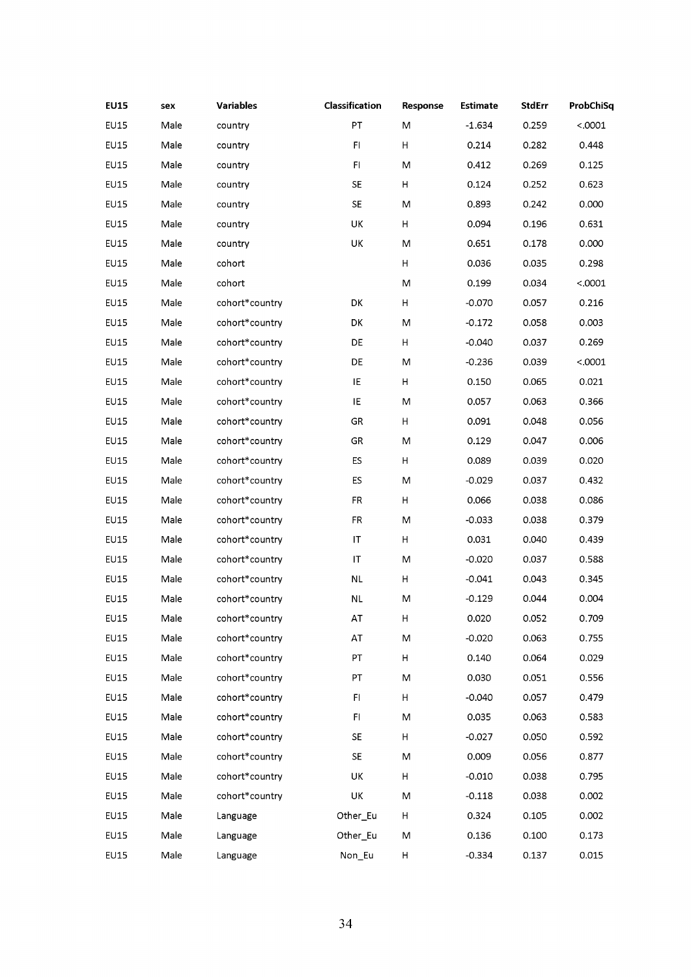| <b>EU15</b> | sex  | <b>Variables</b> | Classification | Response | <b>Estimate</b> | <b>StdErr</b> | ProbChiSq |
|-------------|------|------------------|----------------|----------|-----------------|---------------|-----------|
| <b>EU15</b> | Male | country          | PT             | M        | $-1.634$        | 0.259         | < .0001   |
| <b>EU15</b> | Male | country          | F1             | н        | 0.214           | 0.282         | 0.448     |
| EU15        | Male | country          | F1             | M        | 0.412           | 0.269         | 0.125     |
| <b>EU15</b> | Male | country          | SE             | H        | 0.124           | 0.252         | 0.623     |
| <b>EU15</b> | Male | country          | SE             | M        | 0.893           | 0.242         | 0.000     |
| <b>EU15</b> | Male | country          | UK             | H        | 0.094           | 0.196         | 0.631     |
| <b>EU15</b> | Male | country          | UK             | M        | 0.651           | 0.178         | 0.000     |
| EU15        | Male | cohort           |                | Н        | 0.036           | 0.035         | 0.298     |
| <b>EU15</b> | Male | cohort           |                | M        | 0.199           | 0.034         | < .0001   |
| <b>EU15</b> | Male | cohort*country   | DK             | $\sf H$  | $-0.070$        | 0.057         | 0.216     |
| <b>EU15</b> | Male | cohort*country   | DK             | M        | $-0.172$        | 0.058         | 0.003     |
| <b>EU15</b> | Male | cohort*country   | DE             | H        | $-0.040$        | 0.037         | 0.269     |
| <b>EU15</b> | Male | cohort*country   | DE             | M        | $-0.236$        | 0.039         | < .0001   |
| EU15        | Male | cohort*country   | IE             | н        | 0.150           | 0.065         | 0.021     |
| EU15        | Male | cohort*country   | IE             | M        | 0.057           | 0.063         | 0.366     |
| <b>EU15</b> | Male | cohort*country   | GR             | $\sf H$  | 0.091           | 0.048         | 0.056     |
| <b>EU15</b> | Male | cohort*country   | GR             | M        | 0.129           | 0.047         | 0.006     |
| <b>EU15</b> | Male | cohort*country   | ES             | H        | 0.089           | 0.039         | 0.020     |
| EU15        | Male | cohort*country   | <b>ES</b>      | M        | $-0.029$        | 0.037         | 0.432     |
| <b>EU15</b> | Male | cohort*country   | FR             | $\sf H$  | 0.066           | 0.038         | 0.086     |
| EU15        | Male | cohort*country   | FR.            | M        | $-0.033$        | 0.038         | 0.379     |
| <b>EU15</b> | Male | cohort*country   | IT             | Н        | 0.031           | 0.040         | 0.439     |
| <b>EU15</b> | Male | cohort*country   | IT             | M        | $-0.020$        | 0.037         | 0.588     |
| <b>EU15</b> | Male | cohort*country   | NL             | H        | $-0.041$        | 0.043         | 0.345     |
| <b>EU15</b> | Male | cohort*country   | <b>NL</b>      | M        | $-0.129$        | 0.044         | 0.004     |
| <b>EU15</b> | Male | cohort*country   | AT             | н        | 0.020           | 0.052         | 0.709     |
| <b>EU15</b> | Male | cohort*country   | AT             | M        | $-0.020$        | 0.063         | 0.755     |
| <b>EU15</b> | Male | cohort*country   | PT             | $\sf H$  | 0.140           | 0.064         | 0.029     |
| <b>EU15</b> | Male | cohort*country   | PT             | M        | 0.030           | 0.051         | 0.556     |
| EU15        | Male | cohort*country   | FI.            | H        | $-0.040$        | 0.057         | 0.479     |
| <b>EU15</b> | Male | cohort*country   | FI.            | M        | 0.035           | 0.063         | 0.583     |
| <b>EU15</b> | Male | cohort*country   | SE             | н        | $-0.027$        | 0.050         | 0.592     |
| EU15        | Male | cohort*country   | <b>SE</b>      | M        | 0.009           | 0.056         | 0.877     |
| <b>EU15</b> | Male | cohort*country   | UK             | н        | $-0.010$        | 0.038         | 0.795     |
| <b>EU15</b> | Male | cohort*country   | UK             | M        | $-0.118$        | 0.038         | 0.002     |
| EU15        | Male | Language         | Other_Eu       | H        | 0.324           | 0.105         | 0.002     |
| EU15        | Male | Language         | Other_Eu       | M        | 0.136           | 0.100         | 0.173     |
| <b>EU15</b> | Male | Language         | Non_Eu         | Н        | $-0.334$        | 0.137         | 0.015     |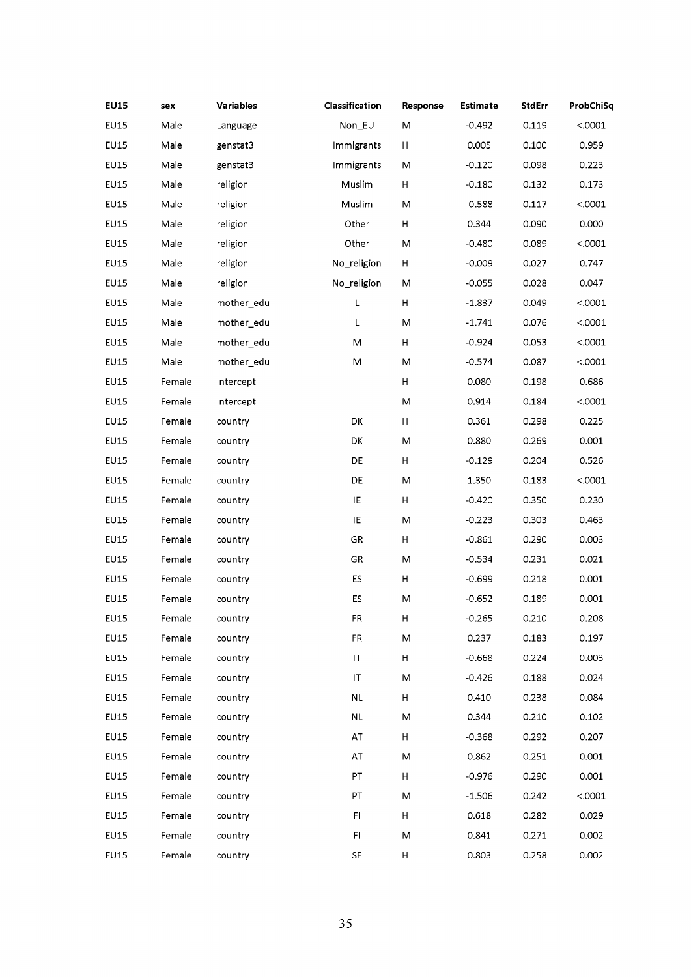| <b>EU15</b> | sex    | <b>Variables</b> | Classification | Response | <b>Estimate</b> | <b>StdErr</b> | ProbChiSq |
|-------------|--------|------------------|----------------|----------|-----------------|---------------|-----------|
| EU15        | Male   | Language         | Non_EU         | M        | $-0.492$        | 0.119         | < .0001   |
| <b>EU15</b> | Male   | genstat3         | Immigrants     | Н        | 0.005           | 0.100         | 0.959     |
| EU15        | Male   | genstat3         | Immigrants     | M        | $-0.120$        | 0.098         | 0.223     |
| <b>EU15</b> | Male   | religion         | Muslim         | Н        | $-0.180$        | 0.132         | 0.173     |
| <b>EU15</b> | Male   | religion         | Muslim         | М        | $-0.588$        | 0.117         | < .0001   |
| <b>EU15</b> | Male   | religion         | Other          | H        | 0.344           | 0.090         | 0.000     |
| <b>EU15</b> | Male   | religion         | Other          | Μ        | $-0.480$        | 0.089         | < .0001   |
| EU15        | Male   | religion         | No_religion    | н        | $-0.009$        | 0.027         | 0.747     |
| <b>EU15</b> | Male   | religion         | No_religion    | М        | $-0.055$        | 0.028         | 0.047     |
| <b>EU15</b> | Male   | mother_edu       | L              | Н        | $-1.837$        | 0.049         | < .0001   |
| <b>EU15</b> | Male   | mother_edu       | L              | М        | $-1.741$        | 0.076         | < .0001   |
| EU15        | Male   | mother_edu       | M              | н        | $-0.924$        | 0.053         | < .0001   |
| EU15        | Male   | mother_edu       | M              | M        | $-0.574$        | 0.087         | < .0001   |
| <b>EU15</b> | Female | Intercept        |                | н        | 0.080           | 0.198         | 0.686     |
| EU15        | Female | Intercept        |                | M        | 0.914           | 0.184         | < .0001   |
| <b>EU15</b> | Female | country          | DK             | н        | 0.361           | 0.298         | 0.225     |
| <b>EU15</b> | Female | country          | DK             | M        | 0.880           | 0.269         | 0.001     |
| <b>EU15</b> | Female | country          | DE             | H        | $-0.129$        | 0.204         | 0.526     |
| EU15        | Female | country          | DE             | M        | 1.350           | 0.183         | < .0001   |
| <b>EU15</b> | Female | country          | IE             | Н        | $-0.420$        | 0.350         | 0.230     |
| EU15        | Female | country          | IE             | M        | $-0.223$        | 0.303         | 0.463     |
| <b>EU15</b> | Female | country          | GR             | Н        | $-0.861$        | 0.290         | 0.003     |
| <b>EU15</b> | Female | country          | GR             | М        | $-0.534$        | 0.231         | 0.021     |
| EU15        | Female | country          | ES             | H        | $-0.699$        | 0.218         | 0.001     |
| <b>EU15</b> | Female | country          | ES             | M        | $-0.652$        | 0.189         | 0.001     |
| <b>EU15</b> | Female | country          | FR             | H        | $-0.265$        | 0.210         | 0.208     |
| <b>EU15</b> | Female | country          | FR             | M        | 0.237           | 0.183         | 0.197     |
| EU15        | Female | country          | IT             | н        | $-0.668$        | 0.224         | 0.003     |
| <b>EU15</b> | Female | country          | IT             | М        | -0.426          | 0.188         | 0.024     |
| <b>EU15</b> | Female | country          | <b>NL</b>      | H        | 0.410           | 0.238         | 0.084     |
| <b>EU15</b> | Female | country          | $\sf NL$       | M        | 0.344           | 0.210         | 0.102     |
| <b>EU15</b> | Female | country          | AT             | н        | $-0.368$        | 0.292         | 0.207     |
| <b>EU15</b> | Female | country          | AT             | M        | 0.862           | 0.251         | 0.001     |
| EU15        | Female | country          | PT             | н        | $-0.976$        | 0.290         | 0.001     |
| EU15        | Female | country          | PТ             | M        | $-1.506$        | 0.242         | < .0001   |
| <b>EU15</b> | Female | country          | FI.            | H        | 0.618           | 0.282         | 0.029     |
| EU15        | Female | country          | FI             | M        | 0.841           | 0.271         | 0.002     |
| <b>EU15</b> | Female | country          | SE.            | Н        | 0.803           | 0.258         | 0.002     |
|             |        |                  |                |          |                 |               |           |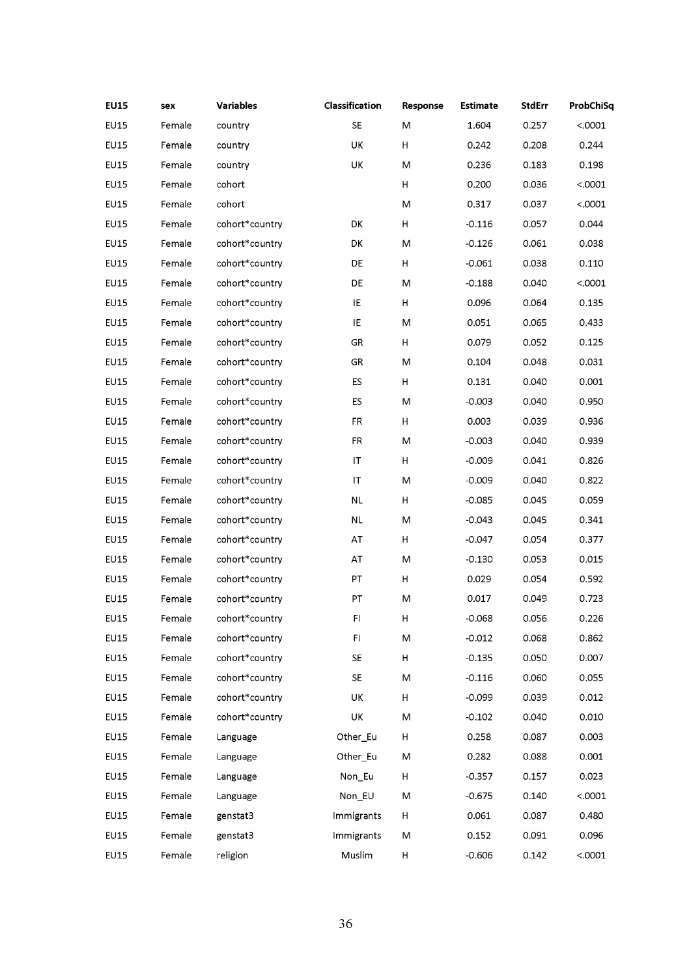| <b>EU15</b> | sex    | <b>Variables</b> | Classification | Response | <b>Estimate</b> | <b>StdErr</b> | ProbChiSq |
|-------------|--------|------------------|----------------|----------|-----------------|---------------|-----------|
| EU15        | Female | country          | SE             | M        | 1.604           | 0.257         | < .0001   |
| <b>EU15</b> | Female | country          | UK             | н        | 0.242           | 0.208         | 0.244     |
| <b>EU15</b> | Female | country          | UK             | M        | 0.236           | 0.183         | 0.198     |
| <b>EU15</b> | Female | cohort           |                | H        | 0.200           | 0.036         | < .0001   |
| EU15        | Female | cohort           |                | M        | 0.317           | 0.037         | < .0001   |
| <b>EU15</b> | Female | cohort*country   | DK             | н        | $-0.116$        | 0.057         | 0.044     |
| <b>EU15</b> | Female | cohort*country   | DK             | M        | $-0.126$        | 0.061         | 0.038     |
| EU15        | Female | cohort*country   | DE             | H        | $-0.061$        | 0.038         | 0.110     |
| <b>EU15</b> | Female | cohort*country   | DE             | M        | $-0.188$        | 0.040         | < .0001   |
| EU15        | Female | cohort*country   | IE             | н        | 0.096           | 0.064         | 0.135     |
| <b>EU15</b> | Female | cohort*country   | IE             | M        | 0.051           | 0.065         | 0.433     |
| EU15        | Female | cohort*country   | GR             | H        | 0.079           | 0.052         | 0.125     |
| EU15        | Female | cohort*country   | GR             | M        | 0.104           | 0.048         | 0.031     |
| EU15        | Female | cohort*country   | ES             | н        | 0.131           | 0.040         | 0.001     |
| EU15        | Female | cohort*country   | ES             | M        | $-0.003$        | 0.040         | 0.950     |
| <b>EU15</b> | Female | cohort*country   | FR.            | н        | 0.003           | 0.039         | 0.936     |
| EU15        | Female | cohort*country   | FR.            | M        | $-0.003$        | 0.040         | 0.939     |
| <b>EU15</b> | Female | cohort*country   | IT             | н        | $-0.009$        | 0.041         | 0.826     |
| EU15        | Female | cohort*country   | IT             | M        | $-0.009$        | 0.040         | 0.822     |
| <b>EU15</b> | Female | cohort*country   | <b>NL</b>      | н        | $-0.085$        | 0.045         | 0.059     |
| EU15        | Female | cohort*country   | NL             | M        | $-0.043$        | 0.045         | 0.341     |
| <b>EU15</b> | Female | cohort*country   | AT             | H        | $-0.047$        | 0.054         | 0.377     |
| <b>EU15</b> | Female | cohort*country   | AT             | M        | $-0.130$        | 0.053         | 0.015     |
| EU15        | Female | cohort*country   | PT             | H        | 0.029           | 0.054         | 0.592     |
| <b>EU15</b> | Female | cohort*country   | PT             | M        | 0.017           | 0.049         | 0.723     |
| EU15        | Female | cohort*country   | FI             | н        | $-0.068$        | 0.056         | 0.226     |
| <b>EU15</b> | Female | cohort*country   | FI             | м        | $-0.012$        | 0.068         | 0.862     |
| EU15        | Female | cohort*country   | <b>SE</b>      | H        | $-0.135$        | 0.050         | 0.007     |
| <b>EU15</b> | Female | cohort*country   | SE.            | M        | $-0.116$        | 0.060         | 0.055     |
| EU15        | Female | cohort*country   | UK             | н        | $-0.099$        | 0.039         | 0.012     |
| <b>EU15</b> | Female | cohort*country   | UK             | M        | $-0.102$        | 0.040         | 0.010     |
| <b>EU15</b> | Female | Language         | Other_Eu       | H        | 0.258           | 0.087         | 0.003     |
| <b>EU15</b> | Female | Language         | Other_Eu       | M        | 0.282           | 0.088         | 0.001     |
| EU15        | Female | Language         | Non_Eu         | н        | $-0.357$        | 0.157         | 0.023     |
| EU15        | Female | Language         | Non_EU         | M        | $-0.675$        | 0.140         | < .0001   |
| <b>EU15</b> | Female | genstat3         | Immigrants     | H        | 0.061           | 0.087         | 0.480     |
| EU15        | Female | genstat3         | Immigrants     | м        | 0.152           | 0.091         | 0.096     |
| <b>EU15</b> | Female | religion         | Muslim         | Н        | $-0.606$        | 0.142         | < .0001   |